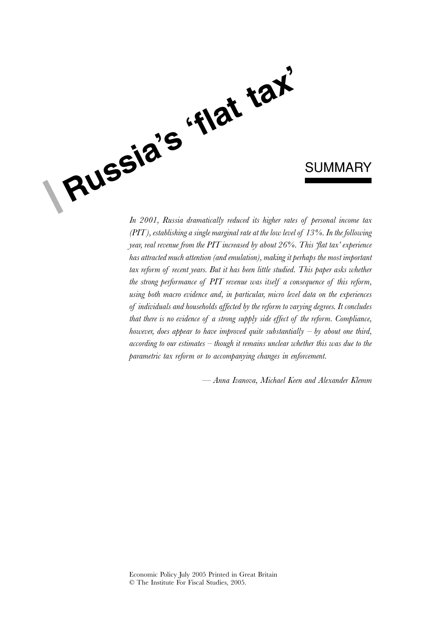*ANNA IVANOVA, MICHAEL KEEN and ALEXANDER KLEMM* The Russian 'flat tax' reform© CEPR, CES, MSH, 2005.Blackwell Publishing, Ltd.RUSSIA'S 'FLAT TAX'Economic PolicyOriginal ArticleOxford, UK0266-4658ECOP43SUMMARY

**Russia's 'flat tax'** *In 2001, Russia dramatically reduced its higher rates of personal income tax (PIT), establishing a single marginal rate at the low level of 13%. In the following year, real revenue from the PIT increased by about 26%. This 'flat tax' experience has attracted much attention (and emulation), making it perhaps the most important tax reform of recent years. But it has been little studied. This paper asks whether the strong performance of PIT revenue was itself a consequence of this reform, using both macro evidence and, in particular, micro level data on the experiences of individuals and households affected by the reform to varying degrees. It concludes that there is no evidence of a strong supply side effect of the reform. Compliance, however, does appear to have improved quite substantially – by about one third, according to our estimates – though it remains unclear whether this was due to the parametric tax reform or to accompanying changes in enforcement.*

*— Anna Ivanova, Michael Keen and Alexander Klemm*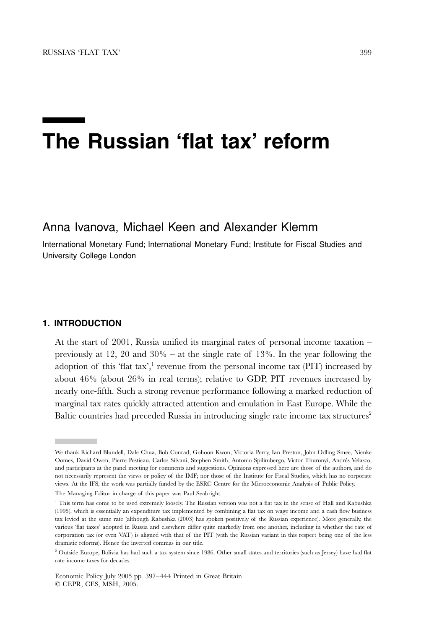# **The Russian 'flat tax' reform**

# Anna Ivanova, Michael Keen and Alexander Klemm

International Monetary Fund; International Monetary Fund; Institute for Fiscal Studies and University College London

# **1. INTRODUCTION**

At the start of 2001, Russia unified its marginal rates of personal income taxation – previously at 12, 20 and 30% – at the single rate of 13%. In the year following the adoption of this 'flat tax', $\frac{1}{1}$  revenue from the personal income tax (PIT) increased by about 46% (about 26% in real terms); relative to GDP, PIT revenues increased by nearly one-fifth. Such a strong revenue performance following a marked reduction of marginal tax rates quickly attracted attention and emulation in East Europe. While the Baltic countries had preceded Russia in introducing single rate income tax structures<sup>2</sup>

We thank Richard Blundell, Dale Chua, Bob Conrad, Gohoon Kwon, Victoria Perry, Ian Preston, John Odling Smee, Nienke Oomes, David Owen, Pierre Pestieau, Carlos Silvani, Stephen Smith, Antonio Spilimbergo, Victor Thuronyi, Andrés Velasco, and participants at the panel meeting for comments and suggestions. Opinions expressed here are those of the authors, and do not necessarily represent the views or policy of the IMF; nor those of the Institute for Fiscal Studies, which has no corporate views. At the IFS, the work was partially funded by the ESRC Centre for the Microeconomic Analysis of Public Policy.

The Managing Editor in charge of this paper was Paul Seabright.

 $1$  This term has come to be used extremely loosely. The Russian version was not a flat tax in the sense of Hall and Rabushka (1995), which is essentially an expenditure tax implemented by combining a flat tax on wage income and a cash flow business tax levied at the same rate (although Rabushka (2003) has spoken positively of the Russian experience). More generally, the various 'flat taxes' adopted in Russia and elsewhere differ quite markedly from one another, including in whether the rate of corporation tax (or even VAT) is aligned with that of the PIT (with the Russian variant in this respect being one of the less dramatic reforms). Hence the inverted commas in our title.

<sup>&</sup>lt;sup>2</sup> Outside Europe, Bolivia has had such a tax system since 1986. Other small states and territories (such as Jersey) have had flat rate income taxes for decades.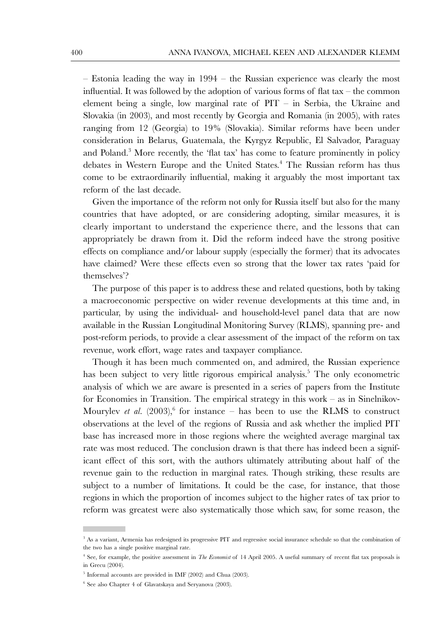– Estonia leading the way in 1994 – the Russian experience was clearly the most influential. It was followed by the adoption of various forms of flat tax – the common element being a single, low marginal rate of PIT – in Serbia, the Ukraine and Slovakia (in 2003), and most recently by Georgia and Romania (in 2005), with rates ranging from 12 (Georgia) to 19% (Slovakia). Similar reforms have been under consideration in Belarus, Guatemala, the Kyrgyz Republic, El Salvador, Paraguay and Poland.<sup>3</sup> More recently, the 'flat tax' has come to feature prominently in policy debates in Western Europe and the United States.<sup>4</sup> The Russian reform has thus come to be extraordinarily influential, making it arguably the most important tax reform of the last decade.

Given the importance of the reform not only for Russia itself but also for the many countries that have adopted, or are considering adopting, similar measures, it is clearly important to understand the experience there, and the lessons that can appropriately be drawn from it. Did the reform indeed have the strong positive effects on compliance and/or labour supply (especially the former) that its advocates have claimed? Were these effects even so strong that the lower tax rates 'paid for themselves'?

The purpose of this paper is to address these and related questions, both by taking a macroeconomic perspective on wider revenue developments at this time and, in particular, by using the individual- and household-level panel data that are now available in the Russian Longitudinal Monitoring Survey (RLMS), spanning pre- and post-reform periods, to provide a clear assessment of the impact of the reform on tax revenue, work effort, wage rates and taxpayer compliance.

Though it has been much commented on, and admired, the Russian experience has been subject to very little rigorous empirical analysis.<sup>5</sup> The only econometric analysis of which we are aware is presented in a series of papers from the Institute for Economies in Transition. The empirical strategy in this work – as in Sinelnikov-Mourylev *et al.*  $(2003)$ <sup>6</sup> for instance – has been to use the RLMS to construct observations at the level of the regions of Russia and ask whether the implied PIT base has increased more in those regions where the weighted average marginal tax rate was most reduced. The conclusion drawn is that there has indeed been a significant effect of this sort, with the authors ultimately attributing about half of the revenue gain to the reduction in marginal rates. Though striking, these results are subject to a number of limitations. It could be the case, for instance, that those regions in which the proportion of incomes subject to the higher rates of tax prior to reform was greatest were also systematically those which saw, for some reason, the

<sup>&</sup>lt;sup>3</sup> As a variant, Armenia has redesigned its progressive PIT and regressive social insurance schedule so that the combination of the two has a single positive marginal rate.

<sup>4</sup> See, for example, the positive assessment in *The Economist* of 14 April 2005. A useful summary of recent flat tax proposals is in Grecu (2004).

<sup>5</sup> Informal accounts are provided in IMF (2002) and Chua (2003).

<sup>6</sup> See also Chapter 4 of Glavatskaya and Seryanova (2003).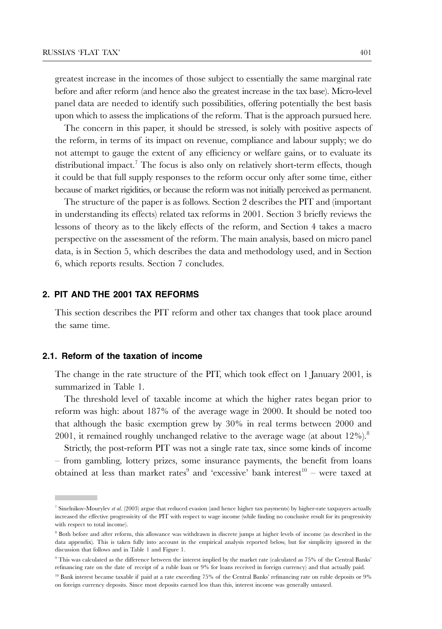greatest increase in the incomes of those subject to essentially the same marginal rate before and after reform (and hence also the greatest increase in the tax base). Micro-level panel data are needed to identify such possibilities, offering potentially the best basis upon which to assess the implications of the reform. That is the approach pursued here.

The concern in this paper, it should be stressed, is solely with positive aspects of the reform, in terms of its impact on revenue, compliance and labour supply; we do not attempt to gauge the extent of any efficiency or welfare gains, or to evaluate its distributional impact.<sup>7</sup> The focus is also only on relatively short-term effects, though it could be that full supply responses to the reform occur only after some time, either because of market rigidities, or because the reform was not initially perceived as permanent.

The structure of the paper is as follows. Section 2 describes the PIT and (important in understanding its effects) related tax reforms in 2001. Section 3 briefly reviews the lessons of theory as to the likely effects of the reform, and Section 4 takes a macro perspective on the assessment of the reform. The main analysis, based on micro panel data, is in Section 5, which describes the data and methodology used, and in Section 6, which reports results. Section 7 concludes.

# **2. PIT AND THE 2001 TAX REFORMS**

This section describes the PIT reform and other tax changes that took place around the same time.

#### **2.1. Reform of the taxation of income**

The change in the rate structure of the PIT, which took effect on 1 January 2001, is summarized in Table 1.

The threshold level of taxable income at which the higher rates began prior to reform was high: about 187% of the average wage in 2000. It should be noted too that although the basic exemption grew by 30% in real terms between 2000 and 2001, it remained roughly unchanged relative to the average wage (at about  $12\%$ ).<sup>8</sup>

Strictly, the post-reform PIT was not a single rate tax, since some kinds of income – from gambling, lottery prizes, some insurance payments, the benefit from loans obtained at less than market rates<sup>9</sup> and 'excessive' bank interest<sup>10</sup> – were taxed at

<sup>7</sup> Sinelnikov-Mourylev *et al.* (2003) argue that reduced evasion (and hence higher tax payments) by higher-rate taxpayers actually increased the effective progressivity of the PIT with respect to wage income (while finding no conclusive result for its progressivity with respect to total income).

<sup>8</sup> Both before and after reform, this allowance was withdrawn in discrete jumps at higher levels of income (as described in the data appendix). This is taken fully into account in the empirical analysis reported below, but for simplicity ignored in the discussion that follows and in Table 1 and Figure 1.

<sup>9</sup> This was calculated as the difference between the interest implied by the market rate (calculated as 75% of the Central Banks' refinancing rate on the date of receipt of a ruble loan or 9% for loans received in foreign currency) and that actually paid.

 $10$  Bank interest became taxable if paid at a rate exceeding 75% of the Central Banks' refinancing rate on ruble deposits or 9% on foreign currency deposits. Since most deposits earned less than this, interest income was generally untaxed.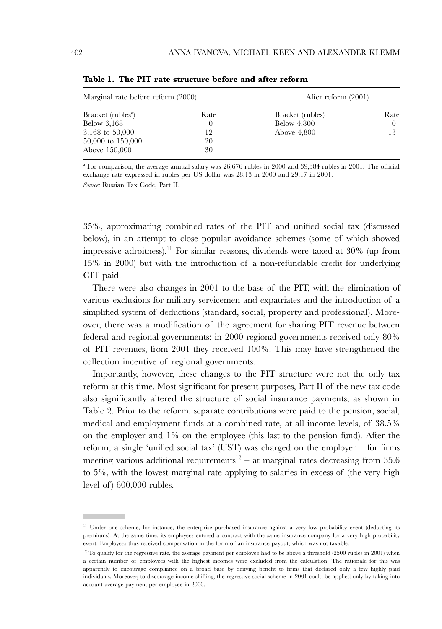| Marginal rate before reform (2000) |          | After reform $(2001)$ |      |  |
|------------------------------------|----------|-----------------------|------|--|
| Bracket (rubles <sup>a</sup> )     | Rate     | Bracket (rubles)      | Rate |  |
| Below $3,168$                      | $\theta$ | <b>Below 4,800</b>    |      |  |
| 3,168 to 50,000                    | 12       | Above $4,800$         | 13   |  |
| 50,000 to 150,000                  | 20       |                       |      |  |
| Above 150,000                      | 30       |                       |      |  |

**Table 1. The PIT rate structure before and after reform**

<sup>a</sup> For comparison, the average annual salary was 26,676 rubles in 2000 and 39,384 rubles in 2001. The official exchange rate expressed in rubles per US dollar was 28.13 in 2000 and 29.17 in 2001. *Source:* Russian Tax Code, Part II.

35%, approximating combined rates of the PIT and unified social tax (discussed below), in an attempt to close popular avoidance schemes (some of which showed impressive adroitness).<sup>11</sup> For similar reasons, dividends were taxed at  $30\%$  (up from 15% in 2000) but with the introduction of a non-refundable credit for underlying CIT paid.

There were also changes in 2001 to the base of the PIT, with the elimination of various exclusions for military servicemen and expatriates and the introduction of a simplified system of deductions (standard, social, property and professional). Moreover, there was a modification of the agreement for sharing PIT revenue between federal and regional governments: in 2000 regional governments received only 80% of PIT revenues, from 2001 they received 100%. This may have strengthened the collection incentive of regional governments.

Importantly, however, these changes to the PIT structure were not the only tax reform at this time. Most significant for present purposes, Part II of the new tax code also significantly altered the structure of social insurance payments, as shown in Table 2. Prior to the reform, separate contributions were paid to the pension, social, medical and employment funds at a combined rate, at all income levels, of 38.5% on the employer and 1% on the employee (this last to the pension fund). After the reform, a single 'unified social tax' (UST) was charged on the employer – for firms meeting various additional requirements<sup>12</sup> – at marginal rates decreasing from 35.6 to 5%, with the lowest marginal rate applying to salaries in excess of (the very high level of  $)$  600,000 rubles.

<sup>&</sup>lt;sup>11</sup> Under one scheme, for instance, the enterprise purchased insurance against a very low probability event (deducting its premiums). At the same time, its employees entered a contract with the same insurance company for a very high probability event. Employees thus received compensation in the form of an insurance payout, which was not taxable.

 $12$  To qualify for the regressive rate, the average payment per employee had to be above a threshold (2500 rubles in 2001) when a certain number of employees with the highest incomes were excluded from the calculation. The rationale for this was apparently to encourage compliance on a broad base by denying benefit to firms that declared only a few highly paid individuals. Moreover, to discourage income shifting, the regressive social scheme in 2001 could be applied only by taking into account average payment per employee in 2000.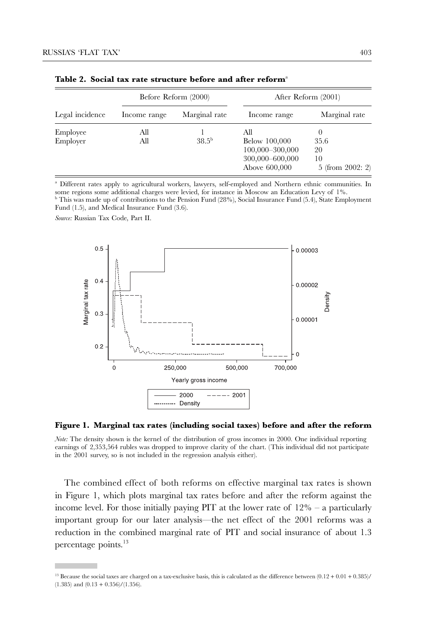|                      | Before Reform (2000) |                |                                                                                    | After Reform (2001)                                |  |
|----------------------|----------------------|----------------|------------------------------------------------------------------------------------|----------------------------------------------------|--|
| Legal incidence      | Income range         | Marginal rate  | Income range                                                                       | Marginal rate                                      |  |
| Employee<br>Employer | All<br>All           | $38.5^{\rm b}$ | All<br><b>Below</b> 100,000<br>100,000-300,000<br>300,000-600,000<br>Above 600,000 | $\theta$<br>35.6<br>20<br>10<br>5 (from $2002:2$ ) |  |

Table 2. Social tax rate structure before and after reform<sup>a</sup>

<sup>a</sup> Different rates apply to agricultural workers, lawyers, self-employed and Northern ethnic communities. In some regions some additional charges were levied, for instance in Moscow an Education Levy of 1%. <sup>b</sup> This was made up of contributions to the Pension Fund (28%), Social Insurance Fund (5.4), State Employment Fund (1.5), and Medical Insurance Fund (3.6).

*Source:* Russian Tax Code, Part II.



**Figure 1. Marginal tax rates (including social taxes) before and after the reform**

*Note:* The density shown is the kernel of the distribution of gross incomes in 2000. One individual reporting earnings of 2,353,564 rubles was dropped to improve clarity of the chart. (This individual did not participate in the 2001 survey, so is not included in the regression analysis either).

The combined effect of both reforms on effective marginal tax rates is shown in Figure 1, which plots marginal tax rates before and after the reform against the income level. For those initially paying  $\overline{PIT}$  at the lower rate of  $12\%$  – a particularly important group for our later analysis—the net effect of the 2001 reforms was a reduction in the combined marginal rate of PIT and social insurance of about 1.3 percentage points.<sup>13</sup>

<sup>&</sup>lt;sup>13</sup> Because the social taxes are charged on a tax-exclusive basis, this is calculated as the difference between  $(0.12 + 0.01 + 0.385)$ /  $(1.385)$  and  $(0.13 + 0.356)/(1.356)$ .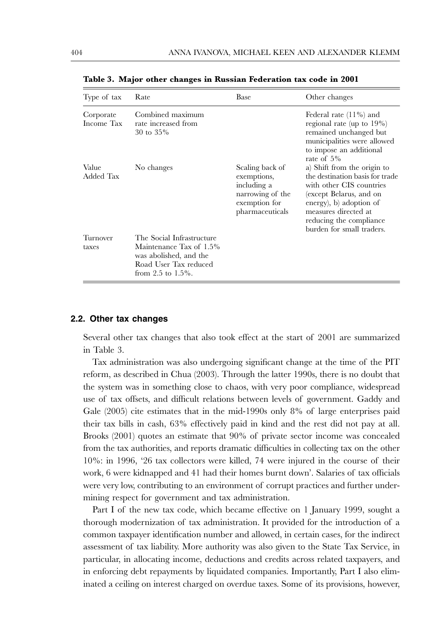| Type of tax             | Rate                                                                                                                               | Base                                                                                                  | Other changes                                                                                                                                                                                                                              |
|-------------------------|------------------------------------------------------------------------------------------------------------------------------------|-------------------------------------------------------------------------------------------------------|--------------------------------------------------------------------------------------------------------------------------------------------------------------------------------------------------------------------------------------------|
| Corporate<br>Income Tax | Combined maximum<br>rate increased from<br>30 to $35\%$                                                                            |                                                                                                       | Federal rate $(11\%)$ and<br>regional rate (up to $19\%$ )<br>remained unchanged but<br>municipalities were allowed<br>to impose an additional<br>rate of $5\%$                                                                            |
| Value<br>Added Tax      | No changes                                                                                                                         | Scaling back of<br>exemptions,<br>including a<br>narrowing of the<br>exemption for<br>pharmaceuticals | a) Shift from the origin to<br>the destination basis for trade<br>with other CIS countries<br>(except Belarus, and on<br>$\langle$ energy), b) adoption of<br>measures directed at<br>reducing the compliance<br>burden for small traders. |
| Turnover<br>taxes       | The Social Infrastructure<br>Maintenance Tax of 1.5%<br>was abolished, and the<br>Road User Tax reduced<br>from $2.5$ to $1.5\%$ . |                                                                                                       |                                                                                                                                                                                                                                            |

**Table 3. Major other changes in Russian Federation tax code in 2001**

#### **2.2. Other tax changes**

Several other tax changes that also took effect at the start of 2001 are summarized in Table 3.

Tax administration was also undergoing significant change at the time of the PIT reform, as described in Chua (2003). Through the latter 1990s, there is no doubt that the system was in something close to chaos, with very poor compliance, widespread use of tax offsets, and difficult relations between levels of government. Gaddy and Gale (2005) cite estimates that in the mid-1990s only 8% of large enterprises paid their tax bills in cash, 63% effectively paid in kind and the rest did not pay at all. Brooks (2001) quotes an estimate that 90% of private sector income was concealed from the tax authorities, and reports dramatic difficulties in collecting tax on the other 10%: in 1996, '26 tax collectors were killed, 74 were injured in the course of their work, 6 were kidnapped and 41 had their homes burnt down'. Salaries of tax officials were very low, contributing to an environment of corrupt practices and further undermining respect for government and tax administration.

Part I of the new tax code, which became effective on 1 January 1999, sought a thorough modernization of tax administration. It provided for the introduction of a common taxpayer identification number and allowed, in certain cases, for the indirect assessment of tax liability. More authority was also given to the State Tax Service, in particular, in allocating income, deductions and credits across related taxpayers, and in enforcing debt repayments by liquidated companies. Importantly, Part I also eliminated a ceiling on interest charged on overdue taxes. Some of its provisions, however,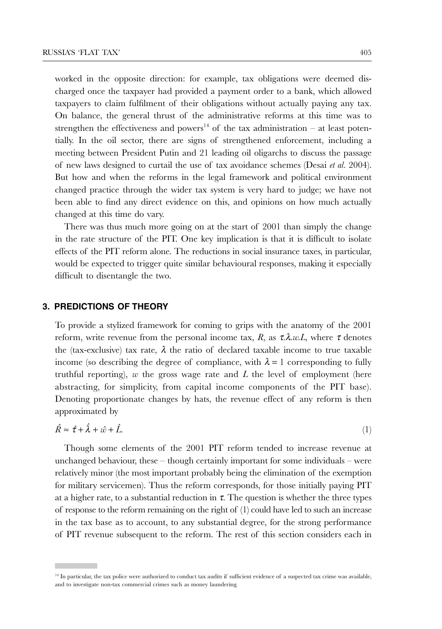worked in the opposite direction: for example, tax obligations were deemed discharged once the taxpayer had provided a payment order to a bank, which allowed taxpayers to claim fulfilment of their obligations without actually paying any tax. On balance, the general thrust of the administrative reforms at this time was to strengthen the effectiveness and powers<sup>14</sup> of the tax administration – at least potentially. In the oil sector, there are signs of strengthened enforcement, including a meeting between President Putin and 21 leading oil oligarchs to discuss the passage of new laws designed to curtail the use of tax avoidance schemes (Desai *et al.* 2004). But how and when the reforms in the legal framework and political environment changed practice through the wider tax system is very hard to judge; we have not been able to find any direct evidence on this, and opinions on how much actually changed at this time do vary.

There was thus much more going on at the start of 2001 than simply the change in the rate structure of the PIT. One key implication is that it is difficult to isolate effects of the PIT reform alone. The reductions in social insurance taxes, in particular, would be expected to trigger quite similar behavioural responses, making it especially difficult to disentangle the two.

## **3. PREDICTIONS OF THEORY**

To provide a stylized framework for coming to grips with the anatomy of the 2001 reform, write revenue from the personal income tax,  $R$ , as  $\tau \lambda w L$ , where  $\tau$  denotes the (tax-exclusive) tax rate,  $\lambda$  the ratio of declared taxable income to true taxable income (so describing the degree of compliance, with  $\lambda = 1$  corresponding to fully truthful reporting), *w* the gross wage rate and *L* the level of employment (here abstracting, for simplicity, from capital income components of the PIT base). Denoting proportionate changes by hats, the revenue effect of any reform is then approximated by

$$
\hat{R} \approx \hat{\tau} + \hat{\lambda} + i\hat{v} + \hat{L}.\tag{1}
$$

Though some elements of the 2001 PIT reform tended to increase revenue at unchanged behaviour, these – though certainly important for some individuals – were relatively minor (the most important probably being the elimination of the exemption for military servicemen). Thus the reform corresponds, for those initially paying PIT at a higher rate, to a substantial reduction in  $\tau$ . The question is whether the three types of response to the reform remaining on the right of (1) could have led to such an increase in the tax base as to account, to any substantial degree, for the strong performance of PIT revenue subsequent to the reform. The rest of this section considers each in

<sup>&</sup>lt;sup>14</sup> In particular, the tax police were authorized to conduct tax audits if sufficient evidence of a suspected tax crime was available, and to investigate non-tax commercial crimes such as money laundering.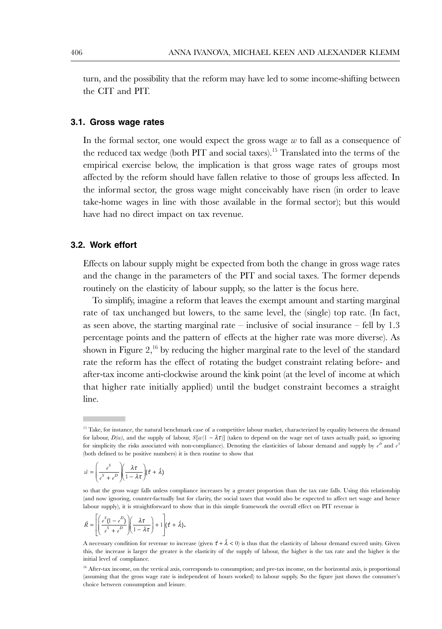turn, and the possibility that the reform may have led to some income-shifting between the CIT and PIT.

#### **3.1. Gross wage rates**

In the formal sector, one would expect the gross wage *w* to fall as a consequence of the reduced tax wedge (both PIT and social taxes).<sup>15</sup> Translated into the terms of the empirical exercise below, the implication is that gross wage rates of groups most affected by the reform should have fallen relative to those of groups less affected. In the informal sector, the gross wage might conceivably have risen (in order to leave take-home wages in line with those available in the formal sector); but this would have had no direct impact on tax revenue.

#### **3.2. Work effort**

Effects on labour supply might be expected from both the change in gross wage rates and the change in the parameters of the PIT and social taxes. The former depends routinely on the elasticity of labour supply, so the latter is the focus here.

To simplify, imagine a reform that leaves the exempt amount and starting marginal rate of tax unchanged but lowers, to the same level, the (single) top rate. (In fact, as seen above, the starting marginal rate – inclusive of social insurance – fell by  $1.3$ percentage points and the pattern of effects at the higher rate was more diverse). As shown in Figure 2,<sup>16</sup> by reducing the higher marginal rate to the level of the standard rate the reform has the effect of rotating the budget constraint relating before- and after-tax income anti-clockwise around the kink point (at the level of income at which that higher rate initially applied) until the budget constraint becomes a straight line.

$$
\hat{w} = \left(\frac{e^{S}}{e^{S} + e^{D}}\right)\left(\frac{\lambda \tau}{1 - \lambda \tau}\right)(\hat{\tau} + \hat{\lambda})
$$

$$
\hat{R} = \left[ \left( \frac{e^{S}(1-e^{D})}{e^{S}+e^{D}} \right) \left( \frac{\lambda \tau}{1-\lambda \tau} \right) + 1 \right] (\hat{\tau} + \hat{\lambda}).
$$

A necessary condition for revenue to increase (given  $\hat{\tau} + \hat{\lambda} < 0$ ) is thus that the elasticity of labour demand exceed unity. Given this, the increase is larger the greater is the elasticity of the supply of labour, the higher is the tax rate and the higher is the initial level of compliance.

<sup>&</sup>lt;sup>15</sup> Take, for instance, the natural benchmark case of a competitive labour market, characterized by equality between the demand for labour,  $D(w)$ , and the supply of labour,  $S[w(1 - \lambda \tau)]$  (taken to depend on the wage net of taxes actually paid, so ignoring for simplicity the risks associated with non-compliance). Denoting the elasticities of labour demand and supply by  $e^D$  and  $e^S$ (both defined to be positive numbers) it is then routine to show that

so that the gross wage falls unless compliance increases by a greater proportion than the tax rate falls. Using this relationship (and now ignoring, counter-factually but for clarity, the social taxes that would also be expected to affect net wage and hence labour supply), it is straightforward to show that in this simple framework the overall effect on PIT revenue is

<sup>16</sup> After-tax income, on the vertical axis, corresponds to consumption; and pre-tax income, on the horizontal axis, is proportional (assuming that the gross wage rate is independent of hours worked) to labour supply. So the figure just shows the consumer's choice between consumption and leisure.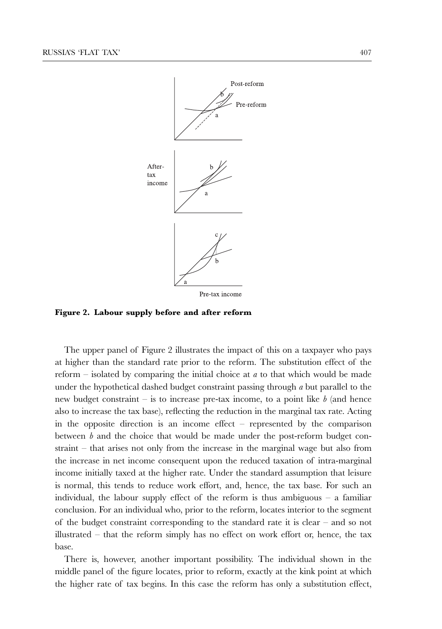

**Figure 2. Labour supply before and after reform**

The upper panel of Figure 2 illustrates the impact of this on a taxpayer who pays at higher than the standard rate prior to the reform. The substitution effect of the reform – isolated by comparing the initial choice at *a* to that which would be made under the hypothetical dashed budget constraint passing through *a* but parallel to the new budget constraint – is to increase pre-tax income, to a point like  *(and hence* also to increase the tax base), reflecting the reduction in the marginal tax rate. Acting in the opposite direction is an income effect – represented by the comparison between *b* and the choice that would be made under the post-reform budget constraint – that arises not only from the increase in the marginal wage but also from the increase in net income consequent upon the reduced taxation of intra-marginal income initially taxed at the higher rate. Under the standard assumption that leisure is normal, this tends to reduce work effort, and, hence, the tax base. For such an individual, the labour supply effect of the reform is thus ambiguous  $-$  a familiar conclusion. For an individual who, prior to the reform, locates interior to the segment of the budget constraint corresponding to the standard rate it is clear – and so not illustrated – that the reform simply has no effect on work effort or, hence, the tax base.

There is, however, another important possibility. The individual shown in the middle panel of the figure locates, prior to reform, exactly at the kink point at which the higher rate of tax begins. In this case the reform has only a substitution effect,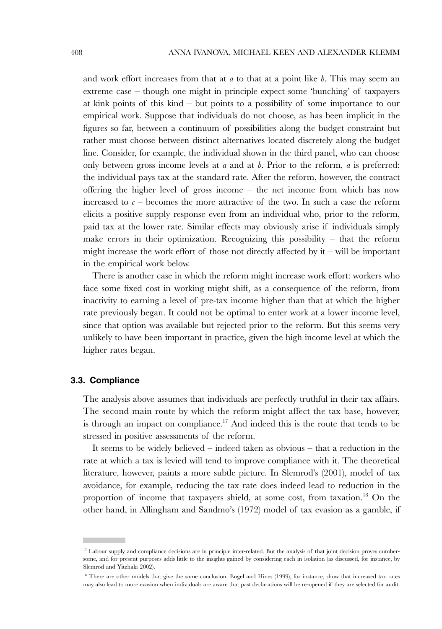and work effort increases from that at *a* to that at a point like *b*. This may seem an extreme case – though one might in principle expect some 'bunching' of taxpayers at kink points of this kind – but points to a possibility of some importance to our empirical work. Suppose that individuals do not choose, as has been implicit in the figures so far, between a continuum of possibilities along the budget constraint but rather must choose between distinct alternatives located discretely along the budget line. Consider, for example, the individual shown in the third panel, who can choose only between gross income levels at *a* and at *b*. Prior to the reform, *a* is preferred: the individual pays tax at the standard rate. After the reform, however, the contract offering the higher level of gross income – the net income from which has now increased to  $c$  – becomes the more attractive of the two. In such a case the reform elicits a positive supply response even from an individual who, prior to the reform, paid tax at the lower rate. Similar effects may obviously arise if individuals simply make errors in their optimization. Recognizing this possibility  $-$  that the reform might increase the work effort of those not directly affected by  $it -$  will be important in the empirical work below.

There is another case in which the reform might increase work effort: workers who face some fixed cost in working might shift, as a consequence of the reform, from inactivity to earning a level of pre-tax income higher than that at which the higher rate previously began. It could not be optimal to enter work at a lower income level, since that option was available but rejected prior to the reform. But this seems very unlikely to have been important in practice, given the high income level at which the higher rates began.

#### **3.3. Compliance**

The analysis above assumes that individuals are perfectly truthful in their tax affairs. The second main route by which the reform might affect the tax base, however, is through an impact on compliance.<sup>17</sup> And indeed this is the route that tends to be stressed in positive assessments of the reform.

It seems to be widely believed – indeed taken as obvious – that a reduction in the rate at which a tax is levied will tend to improve compliance with it. The theoretical literature, however, paints a more subtle picture. In Slemrod's (2001), model of tax avoidance, for example, reducing the tax rate does indeed lead to reduction in the proportion of income that taxpayers shield, at some cost, from taxation.<sup>18</sup> On the other hand, in Allingham and Sandmo's (1972) model of tax evasion as a gamble, if

<sup>&</sup>lt;sup>17</sup> Labour supply and compliance decisions are in principle inter-related. But the analysis of that joint decision proves cumbersome, and for present purposes adds little to the insights gained by considering each in isolation (as discussed, for instance, by Slemrod and Yitzhaki 2002).

<sup>18</sup> There are other models that give the same conclusion. Engel and Hines (1999), for instance, show that increased tax rates may also lead to more evasion when individuals are aware that past declarations will be re-opened if they are selected for audit.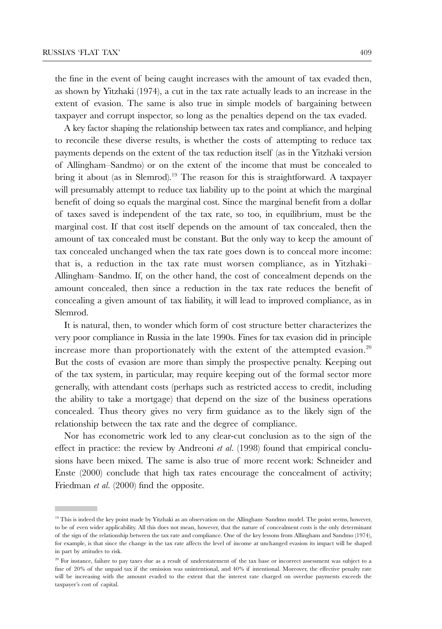the fine in the event of being caught increases with the amount of tax evaded then, as shown by Yitzhaki (1974), a cut in the tax rate actually leads to an increase in the extent of evasion. The same is also true in simple models of bargaining between taxpayer and corrupt inspector, so long as the penalties depend on the tax evaded.

A key factor shaping the relationship between tax rates and compliance, and helping to reconcile these diverse results, is whether the costs of attempting to reduce tax payments depends on the extent of the tax reduction itself (as in the Yitzhaki version of Allingham–Sandmo) or on the extent of the income that must be concealed to bring it about (as in Slemrod).<sup>19</sup> The reason for this is straightforward. A taxpayer will presumably attempt to reduce tax liability up to the point at which the marginal benefit of doing so equals the marginal cost. Since the marginal benefit from a dollar of taxes saved is independent of the tax rate, so too, in equilibrium, must be the marginal cost. If that cost itself depends on the amount of tax concealed, then the amount of tax concealed must be constant. But the only way to keep the amount of tax concealed unchanged when the tax rate goes down is to conceal more income: that is, a reduction in the tax rate must worsen compliance, as in Yitzhaki– Allingham–Sandmo. If, on the other hand, the cost of concealment depends on the amount concealed, then since a reduction in the tax rate reduces the benefit of concealing a given amount of tax liability, it will lead to improved compliance, as in Slemrod.

It is natural, then, to wonder which form of cost structure better characterizes the very poor compliance in Russia in the late 1990s. Fines for tax evasion did in principle increase more than proportionately with the extent of the attempted evasion.<sup>20</sup> But the costs of evasion are more than simply the prospective penalty. Keeping out of the tax system, in particular, may require keeping out of the formal sector more generally, with attendant costs (perhaps such as restricted access to credit, including the ability to take a mortgage) that depend on the size of the business operations concealed. Thus theory gives no very firm guidance as to the likely sign of the relationship between the tax rate and the degree of compliance.

Nor has econometric work led to any clear-cut conclusion as to the sign of the effect in practice: the review by Andreoni *et al.* (1998) found that empirical conclusions have been mixed. The same is also true of more recent work: Schneider and Enste (2000) conclude that high tax rates encourage the concealment of activity; Friedman *et al*. (2000) find the opposite.

<sup>&</sup>lt;sup>19</sup> This is indeed the key point made by Yitzhaki as an observation on the Allingham–Sandmo model. The point seems, however, to be of even wider applicability. All this does not mean, however, that the nature of concealment costs is the only determinant of the sign of the relationship between the tax rate and compliance. One of the key lessons from Allingham and Sandmo (1974), for example, is that since the change in the tax rate affects the level of income at unchanged evasion its impact will be shaped in part by attitudes to risk.

 $^\mathrm{20}$  For instance, failure to pay taxes due as a result of understatement of the tax base or incorrect assessment was subject to a fine of 20% of the unpaid tax if the omission was unintentional, and 40% if intentional. Moreover, the effective penalty rate will be increasing with the amount evaded to the extent that the interest rate charged on overdue payments exceeds the taxpayer's cost of capital.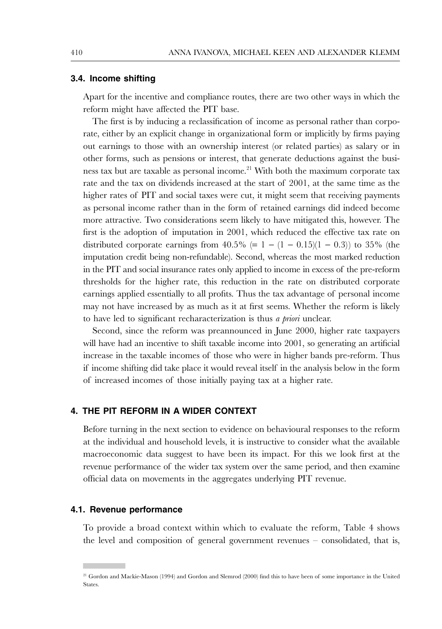#### **3.4. Income shifting**

Apart for the incentive and compliance routes, there are two other ways in which the reform might have affected the PIT base.

The first is by inducing a reclassification of income as personal rather than corporate, either by an explicit change in organizational form or implicitly by firms paying out earnings to those with an ownership interest (or related parties) as salary or in other forms, such as pensions or interest, that generate deductions against the business tax but are taxable as personal income.<sup>21</sup> With both the maximum corporate tax rate and the tax on dividends increased at the start of 2001, at the same time as the higher rates of PIT and social taxes were cut, it might seem that receiving payments as personal income rather than in the form of retained earnings did indeed become more attractive. Two considerations seem likely to have mitigated this, however. The first is the adoption of imputation in 2001, which reduced the effective tax rate on distributed corporate earnings from  $40.5\%$  (= 1 – (1 – 0.15)(1 – 0.3)) to 35% (the imputation credit being non-refundable). Second, whereas the most marked reduction in the PIT and social insurance rates only applied to income in excess of the pre-reform thresholds for the higher rate, this reduction in the rate on distributed corporate earnings applied essentially to all profits. Thus the tax advantage of personal income may not have increased by as much as it at first seems. Whether the reform is likely to have led to significant recharacterization is thus *a priori* unclear.

Second, since the reform was preannounced in June 2000, higher rate taxpayers will have had an incentive to shift taxable income into 2001, so generating an artificial increase in the taxable incomes of those who were in higher bands pre-reform. Thus if income shifting did take place it would reveal itself in the analysis below in the form of increased incomes of those initially paying tax at a higher rate.

# **4. THE PIT REFORM IN A WIDER CONTEXT**

Before turning in the next section to evidence on behavioural responses to the reform at the individual and household levels, it is instructive to consider what the available macroeconomic data suggest to have been its impact. For this we look first at the revenue performance of the wider tax system over the same period, and then examine official data on movements in the aggregates underlying PIT revenue.

#### **4.1. Revenue performance**

To provide a broad context within which to evaluate the reform, Table 4 shows the level and composition of general government revenues – consolidated, that is,

<sup>&</sup>lt;sup>21</sup> Gordon and Mackie-Mason (1994) and Gordon and Slemrod (2000) find this to have been of some importance in the United **States**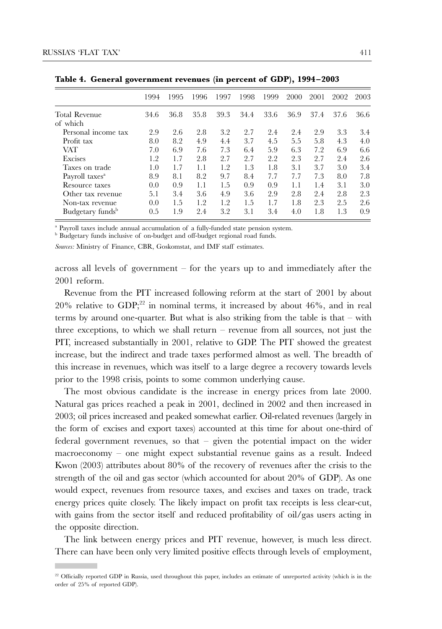|                              | 1994 | 1995 | 1996 | 1997 | 1998 | 1999 | 2000 | 2001 | 2002 | 2003 |
|------------------------------|------|------|------|------|------|------|------|------|------|------|
| Total Revenue<br>of which    | 34.6 | 36.8 | 35.8 | 39.3 | 34.4 | 33.6 | 36.9 | 37.4 | 37.6 | 36.6 |
| Personal income tax          | 2.9  | 2.6  | 2.8  | 3.2  | 2.7  | 2.4  | 2.4  | 2.9  | 3.3  | 3.4  |
| Profit tax                   | 8.0  | 8.2  | 4.9  | 4.4  | 3.7  | 4.5  | 5.5  | 5.8  | 4.3  | 4.0  |
| VAT                          | 7.0  | 6.9  | 7.6  | 7.3  | 6.4  | 5.9  | 6.3  | 7.2  | 6.9  | 6.6  |
| Excises                      | 1.2  | 1.7  | 2.8  | 2.7  | 2.7  | 2.2  | 2.3  | 2.7  | 2.4  | 2.6  |
| Taxes on trade               | 1.0  | 1.7  | 1.1  | 1.2  | 1.3  | 1.8  | 3.1  | 3.7  | 3.0  | 3.4  |
| Payroll taxes <sup>a</sup>   | 8.9  | 8.1  | 8.2  | 9.7  | 8.4  | 7.7  | 7.7  | 7.3  | 8.0  | 7.8  |
| Resource taxes               | 0.0  | 0.9  | 1.1  | 1.5  | 0.9  | 0.9  | 1.1  | 1.4  | 3.1  | 3.0  |
| Other tax revenue            | 5.1  | 3.4  | 3.6  | 4.9  | 3.6  | 2.9  | 2.8  | 2.4  | 2.8  | 2.3  |
| Non-tax revenue              | 0.0  | 1.5  | 1.2  | 1.2  | 1.5  | 1.7  | 1.8  | 2.3  | 2.5  | 2.6  |
| Budgetary funds <sup>b</sup> | 0.5  | 1.9  | 2.4  | 3.2  | 3.1  | 3.4  | 4.0  | 1.8  | 1.3  | 0.9  |
|                              |      |      |      |      |      |      |      |      |      |      |

**Table 4. General government revenues (in percent of GDP), 1994–2003**

<sup>a</sup> Payroll taxes include annual accumulation of a fully-funded state pension system.

**b** Budgetary funds inclusive of on-budget and off-budget regional road funds.

*Sources:* Ministry of Finance, CBR, Goskomstat, and IMF staff estimates.

across all levels of government – for the years up to and immediately after the 2001 reform.

Revenue from the PIT increased following reform at the start of 2001 by about  $20\%$  relative to GDP;<sup>22</sup> in nominal terms, it increased by about 46%, and in real terms by around one-quarter. But what is also striking from the table is that – with three exceptions, to which we shall return – revenue from all sources, not just the PIT, increased substantially in 2001, relative to GDP. The PIT showed the greatest increase, but the indirect and trade taxes performed almost as well. The breadth of this increase in revenues, which was itself to a large degree a recovery towards levels prior to the 1998 crisis, points to some common underlying cause.

The most obvious candidate is the increase in energy prices from late 2000. Natural gas prices reached a peak in 2001, declined in 2002 and then increased in 2003; oil prices increased and peaked somewhat earlier. Oil-related revenues (largely in the form of excises and export taxes) accounted at this time for about one-third of federal government revenues, so that – given the potential impact on the wider macroeconomy – one might expect substantial revenue gains as a result. Indeed Kwon (2003) attributes about 80% of the recovery of revenues after the crisis to the strength of the oil and gas sector (which accounted for about 20% of GDP). As one would expect, revenues from resource taxes, and excises and taxes on trade, track energy prices quite closely. The likely impact on profit tax receipts is less clear-cut, with gains from the sector itself and reduced profitability of oil/gas users acting in the opposite direction.

The link between energy prices and PIT revenue, however, is much less direct. There can have been only very limited positive effects through levels of employment,

<sup>&</sup>lt;sup>22</sup> Officially reported GDP in Russia, used throughout this paper, includes an estimate of unreported activity (which is in the order of 25% of reported GDP).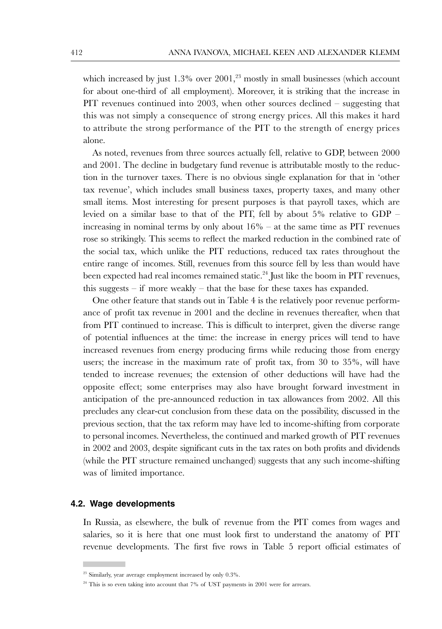which increased by just  $1.3\%$  over  $2001$ ,<sup>23</sup> mostly in small businesses (which account for about one-third of all employment). Moreover, it is striking that the increase in PIT revenues continued into 2003, when other sources declined – suggesting that this was not simply a consequence of strong energy prices. All this makes it hard to attribute the strong performance of the PIT to the strength of energy prices alone.

As noted, revenues from three sources actually fell, relative to GDP, between 2000 and 2001. The decline in budgetary fund revenue is attributable mostly to the reduction in the turnover taxes. There is no obvious single explanation for that in 'other tax revenue', which includes small business taxes, property taxes, and many other small items. Most interesting for present purposes is that payroll taxes, which are levied on a similar base to that of the PIT, fell by about 5% relative to GDP – increasing in nominal terms by only about  $16\%$  – at the same time as PIT revenues rose so strikingly. This seems to reflect the marked reduction in the combined rate of the social tax, which unlike the PIT reductions, reduced tax rates throughout the entire range of incomes. Still, revenues from this source fell by less than would have been expected had real incomes remained static.<sup>24</sup> Just like the boom in PIT revenues, this suggests – if more weakly – that the base for these taxes has expanded.

One other feature that stands out in Table 4 is the relatively poor revenue performance of profit tax revenue in 2001 and the decline in revenues thereafter, when that from PIT continued to increase. This is difficult to interpret, given the diverse range of potential influences at the time: the increase in energy prices will tend to have increased revenues from energy producing firms while reducing those from energy users; the increase in the maximum rate of profit tax, from 30 to 35%, will have tended to increase revenues; the extension of other deductions will have had the opposite effect; some enterprises may also have brought forward investment in anticipation of the pre-announced reduction in tax allowances from 2002. All this precludes any clear-cut conclusion from these data on the possibility, discussed in the previous section, that the tax reform may have led to income-shifting from corporate to personal incomes. Nevertheless, the continued and marked growth of PIT revenues in 2002 and 2003, despite significant cuts in the tax rates on both profits and dividends (while the PIT structure remained unchanged) suggests that any such income-shifting was of limited importance.

#### **4.2. Wage developments**

In Russia, as elsewhere, the bulk of revenue from the PIT comes from wages and salaries, so it is here that one must look first to understand the anatomy of PIT revenue developments. The first five rows in Table 5 report official estimates of

<sup>&</sup>lt;sup>23</sup> Similarly, year average employment increased by only 0.3%.

 $24$  This is so even taking into account that 7% of UST payments in 2001 were for arrears.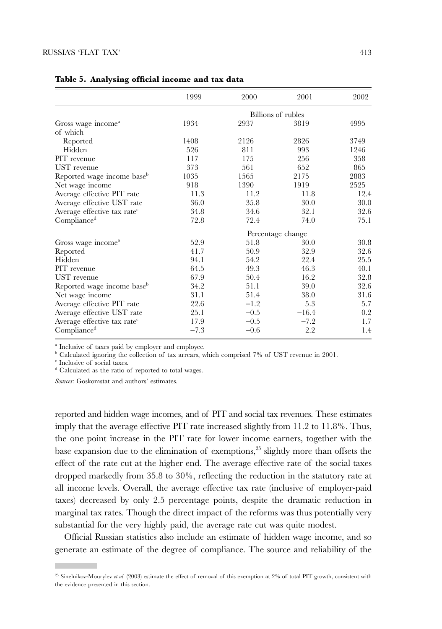| 1999   | 2000   | 2001    | 2002                                    |
|--------|--------|---------|-----------------------------------------|
|        |        |         |                                         |
| 1934   | 2937   | 3819    | 4995                                    |
|        |        |         |                                         |
| 1408   | 2126   | 2826    | 3749                                    |
| 526    | 811    | 993     | 1246                                    |
| 117    | 175    | 256     | 358                                     |
| 373    | 561    | 652     | 865                                     |
| 1035   | 1565   | 2175    | 2883                                    |
| 918    | 1390   | 1919    | 2525                                    |
| 11.3   | 11.2   | 11.8    | 12.4                                    |
| 36.0   | 35.8   | 30.0    | 30.0                                    |
| 34.8   | 34.6   | 32.1    | 32.6                                    |
| 72.8   | 72.4   | 74.0    | 75.1                                    |
|        |        |         |                                         |
| 52.9   | 51.8   | 30.0    | 30.8                                    |
| 41.7   | 50.9   | 32.9    | 32.6                                    |
| 94.1   | 54.2   | 22.4    | 25.5                                    |
| 64.5   | 49.3   | 46.3    | 40.1                                    |
| 67.9   | 50.4   | 16.2    | 32.8                                    |
| 34.2   | 51.1   | 39.0    | 32.6                                    |
| 31.1   | 51.4   | 38.0    | 31.6                                    |
| 22.6   | $-1.2$ | 5.3     | 5.7                                     |
| 25.1   | $-0.5$ | $-16.4$ | 0.2                                     |
| 17.9   | $-0.5$ | $-7.2$  | 1.7                                     |
| $-7.3$ | $-0.6$ | 2.2     | 1.4                                     |
|        |        |         | Billions of rubles<br>Percentage change |

#### **Table 5. Analysing official income and tax data**

<sup>a</sup> Inclusive of taxes paid by employer and employee.

**b** Calculated ignoring the collection of tax arrears, which comprised 7% of UST revenue in 2001.

<sup>c</sup> Inclusive of social taxes.

<sup>d</sup> Calculated as the ratio of reported to total wages.

*Sources:* Goskomstat and authors' estimates.

reported and hidden wage incomes, and of PIT and social tax revenues. These estimates imply that the average effective PIT rate increased slightly from 11.2 to 11.8%. Thus, the one point increase in the PIT rate for lower income earners, together with the base expansion due to the elimination of exemptions, $2<sup>5</sup>$  slightly more than offsets the effect of the rate cut at the higher end. The average effective rate of the social taxes dropped markedly from 35.8 to 30%, reflecting the reduction in the statutory rate at all income levels. Overall, the average effective tax rate (inclusive of employer-paid taxes) decreased by only 2.5 percentage points, despite the dramatic reduction in marginal tax rates. Though the direct impact of the reforms was thus potentially very substantial for the very highly paid, the average rate cut was quite modest.

Official Russian statistics also include an estimate of hidden wage income, and so generate an estimate of the degree of compliance. The source and reliability of the

<sup>&</sup>lt;sup>25</sup> Sinelnikov-Mourylev *et al.* (2003) estimate the effect of removal of this exemption at 2% of total PIT growth, consistent with the evidence presented in this section.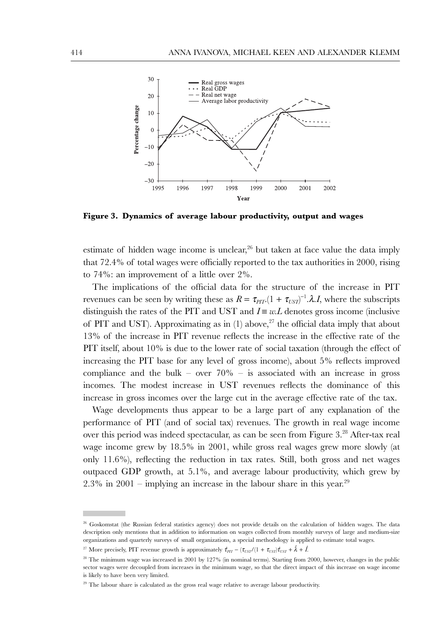

**Figure 3. Dynamics of average labour productivity, output and wages**

estimate of hidden wage income is unclear.<sup>26</sup> but taken at face value the data imply that 72.4% of total wages were officially reported to the tax authorities in 2000, rising to 74%: an improvement of a little over 2%.

The implications of the official data for the structure of the increase in PIT revenues can be seen by writing these as  $R = \tau_{PIT} (1 + \tau_{UST})^{-1} \lambda I$ , where the subscripts distinguish the rates of the PIT and UST and  $I \equiv w.L$  denotes gross income (inclusive of PIT and UST). Approximating as in (1) above,<sup>27</sup> the official data imply that about 13% of the increase in PIT revenue reflects the increase in the effective rate of the PIT itself, about 10% is due to the lower rate of social taxation (through the effect of increasing the PIT base for any level of gross income), about 5% reflects improved compliance and the bulk – over  $70\%$  – is associated with an increase in gross incomes. The modest increase in UST revenues reflects the dominance of this increase in gross incomes over the large cut in the average effective rate of the tax.

Wage developments thus appear to be a large part of any explanation of the performance of PIT (and of social tax) revenues. The growth in real wage income over this period was indeed spectacular, as can be seen from Figure 3.<sup>28</sup> After-tax real wage income grew by 18.5% in 2001, while gross real wages grew more slowly (at only 11.6%), reflecting the reduction in tax rates. Still, both gross and net wages outpaced GDP growth, at  $5.1\%$ , and average labour productivity, which grew by 2.3% in 2001 – implying an increase in the labour share in this year.<sup>29</sup>

<sup>26</sup> Goskomstat (the Russian federal statistics agency) does not provide details on the calculation of hidden wages. The data description only mentions that in addition to information on wages collected from monthly surveys of large and medium-size organizations and quarterly surveys of small organizations, a special methodology is applied to estimate total wages.

<sup>&</sup>lt;sup>27</sup> More precisely, PIT revenue growth is approximately  $\hat{\tau}_{PT} - (\tau_{UST}/(1 + \tau_{UST})\hat{\tau}_{UST} + \hat{\lambda} + \hat{\lambda})$ 

<sup>&</sup>lt;sup>28</sup> The minimum wage was increased in 2001 by 127% (in nominal terms). Starting from 2000, however, changes in the public sector wages were decoupled from increases in the minimum wage, so that the direct impact of this increase on wage income is likely to have been very limited.

 $29$  The labour share is calculated as the gross real wage relative to average labour productivity.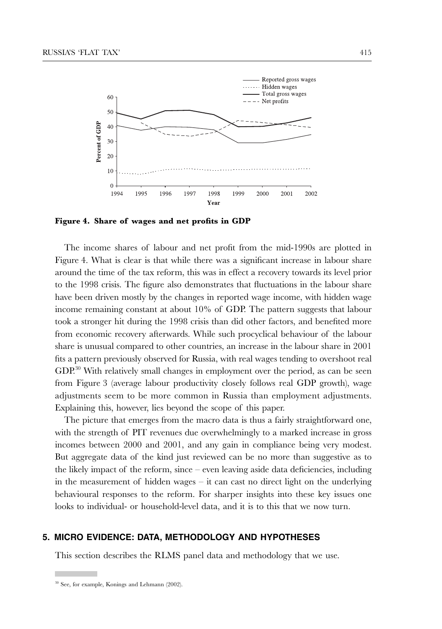

**Figure 4. Share of wages and net profits in GDP**

The income shares of labour and net profit from the mid-1990s are plotted in Figure 4. What is clear is that while there was a significant increase in labour share around the time of the tax reform, this was in effect a recovery towards its level prior to the 1998 crisis. The figure also demonstrates that fluctuations in the labour share have been driven mostly by the changes in reported wage income, with hidden wage income remaining constant at about 10% of GDP. The pattern suggests that labour took a stronger hit during the 1998 crisis than did other factors, and benefited more from economic recovery afterwards. While such procyclical behaviour of the labour share is unusual compared to other countries, an increase in the labour share in 2001 fits a pattern previously observed for Russia, with real wages tending to overshoot real GDP.<sup>30</sup> With relatively small changes in employment over the period, as can be seen from Figure 3 (average labour productivity closely follows real GDP growth), wage adjustments seem to be more common in Russia than employment adjustments. Explaining this, however, lies beyond the scope of this paper.

The picture that emerges from the macro data is thus a fairly straightforward one, with the strength of PIT revenues due overwhelmingly to a marked increase in gross incomes between 2000 and 2001, and any gain in compliance being very modest. But aggregate data of the kind just reviewed can be no more than suggestive as to the likely impact of the reform, since – even leaving aside data deficiencies, including in the measurement of hidden wages  $-$  it can cast no direct light on the underlying behavioural responses to the reform. For sharper insights into these key issues one looks to individual- or household-level data, and it is to this that we now turn.

#### **5. MICRO EVIDENCE: DATA, METHODOLOGY AND HYPOTHESES**

This section describes the RLMS panel data and methodology that we use.

<sup>30</sup> See, for example, Konings and Lehmann (2002).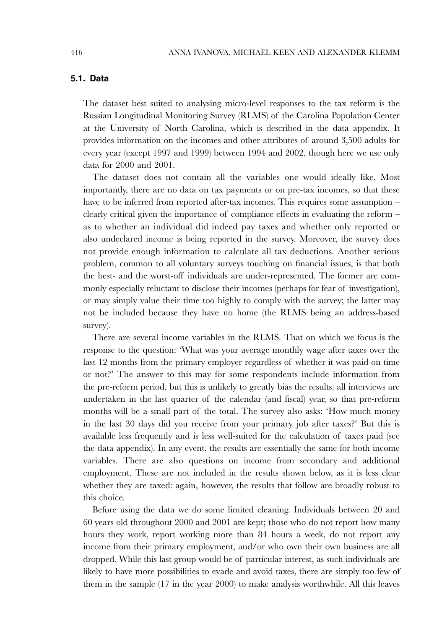# **5.1. Data**

The dataset best suited to analysing micro-level responses to the tax reform is the Russian Longitudinal Monitoring Survey (RLMS) of the Carolina Population Center at the University of North Carolina, which is described in the data appendix. It provides information on the incomes and other attributes of around 3,500 adults for every year (except 1997 and 1999) between 1994 and 2002, though here we use only data for 2000 and 2001.

The dataset does not contain all the variables one would ideally like. Most importantly, there are no data on tax payments or on pre-tax incomes, so that these have to be inferred from reported after-tax incomes. This requires some assumption – clearly critical given the importance of compliance effects in evaluating the reform – as to whether an individual did indeed pay taxes and whether only reported or also undeclared income is being reported in the survey. Moreover, the survey does not provide enough information to calculate all tax deductions. Another serious problem, common to all voluntary surveys touching on financial issues, is that both the best- and the worst-off individuals are under-represented. The former are commonly especially reluctant to disclose their incomes (perhaps for fear of investigation), or may simply value their time too highly to comply with the survey; the latter may not be included because they have no home (the RLMS being an address-based survey).

There are several income variables in the RLMS. That on which we focus is the response to the question: 'What was your average monthly wage after taxes over the last 12 months from the primary employer regardless of whether it was paid on time or not?' The answer to this may for some respondents include information from the pre-reform period, but this is unlikely to greatly bias the results: all interviews are undertaken in the last quarter of the calendar (and fiscal) year, so that pre-reform months will be a small part of the total. The survey also asks: 'How much money in the last 30 days did you receive from your primary job after taxes?' But this is available less frequently and is less well-suited for the calculation of taxes paid (see the data appendix). In any event, the results are essentially the same for both income variables. There are also questions on income from secondary and additional employment. These are not included in the results shown below, as it is less clear whether they are taxed: again, however, the results that follow are broadly robust to this choice.

Before using the data we do some limited cleaning. Individuals between 20 and 60 years old throughout 2000 and 2001 are kept; those who do not report how many hours they work, report working more than 84 hours a week, do not report any income from their primary employment, and/or who own their own business are all dropped. While this last group would be of particular interest, as such individuals are likely to have more possibilities to evade and avoid taxes, there are simply too few of them in the sample (17 in the year 2000) to make analysis worthwhile. All this leaves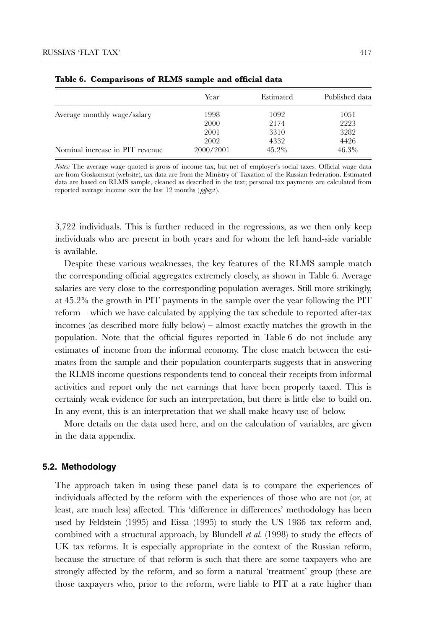|                                 | Year      | Estimated | Published data |
|---------------------------------|-----------|-----------|----------------|
| Average monthly wage/salary     | 1998      | 1092      | 1051           |
|                                 | 2000      | 2174      | 2223           |
|                                 | 2001      | 3310      | 3282           |
|                                 | 2002      | 4332      | 4426           |
| Nominal increase in PIT revenue | 2000/2001 | 45.2%     | 46.3%          |

**Table 6. Comparisons of RLMS sample and official data**

*Notes:* The average wage quoted is gross of income tax, but net of employer's social taxes. Official wage data are from Goskomstat (website), tax data are from the Ministry of Taxation of the Russian Federation. Estimated data are based on RLMS sample, cleaned as described in the text; personal tax payments are calculated from reported average income over the last 12 months ( *pjpayt* ).

3,722 individuals. This is further reduced in the regressions, as we then only keep individuals who are present in both years and for whom the left hand-side variable is available.

Despite these various weaknesses, the key features of the RLMS sample match the corresponding official aggregates extremely closely, as shown in Table 6. Average salaries are very close to the corresponding population averages. Still more strikingly, at 45.2% the growth in PIT payments in the sample over the year following the PIT reform – which we have calculated by applying the tax schedule to reported after-tax incomes (as described more fully below) – almost exactly matches the growth in the population. Note that the official figures reported in Table 6 do not include any estimates of income from the informal economy. The close match between the estimates from the sample and their population counterparts suggests that in answering the RLMS income questions respondents tend to conceal their receipts from informal activities and report only the net earnings that have been properly taxed. This is certainly weak evidence for such an interpretation, but there is little else to build on. In any event, this is an interpretation that we shall make heavy use of below.

More details on the data used here, and on the calculation of variables, are given in the data appendix.

#### **5.2. Methodology**

The approach taken in using these panel data is to compare the experiences of individuals affected by the reform with the experiences of those who are not (or, at least, are much less) affected. This 'difference in differences' methodology has been used by Feldstein (1995) and Eissa (1995) to study the US 1986 tax reform and, combined with a structural approach, by Blundell *et al.* (1998) to study the effects of UK tax reforms. It is especially appropriate in the context of the Russian reform, because the structure of that reform is such that there are some taxpayers who are strongly affected by the reform, and so form a natural 'treatment' group (these are those taxpayers who, prior to the reform, were liable to PIT at a rate higher than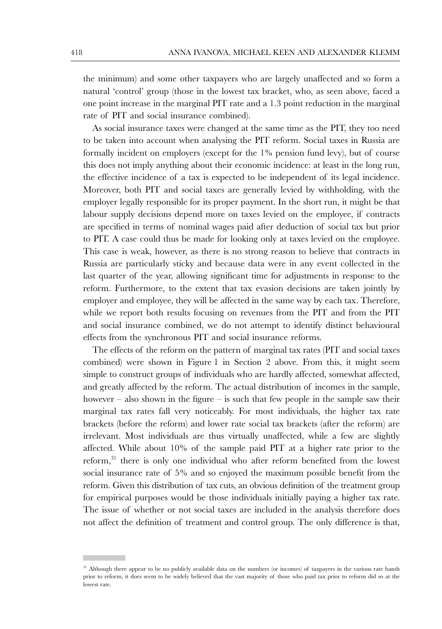the minimum) and some other taxpayers who are largely unaffected and so form a natural 'control' group (those in the lowest tax bracket, who, as seen above, faced a one point increase in the marginal PIT rate and a 1.3 point reduction in the marginal rate of PIT and social insurance combined).

As social insurance taxes were changed at the same time as the PIT, they too need to be taken into account when analysing the PIT reform. Social taxes in Russia are formally incident on employers (except for the 1% pension fund levy), but of course this does not imply anything about their economic incidence: at least in the long run, the effective incidence of a tax is expected to be independent of its legal incidence. Moreover, both PIT and social taxes are generally levied by withholding, with the employer legally responsible for its proper payment. In the short run, it might be that labour supply decisions depend more on taxes levied on the employee, if contracts are specified in terms of nominal wages paid after deduction of social tax but prior to PIT. A case could thus be made for looking only at taxes levied on the employee. This case is weak, however, as there is no strong reason to believe that contracts in Russia are particularly sticky and because data were in any event collected in the last quarter of the year, allowing significant time for adjustments in response to the reform. Furthermore, to the extent that tax evasion decisions are taken jointly by employer and employee, they will be affected in the same way by each tax. Therefore, while we report both results focusing on revenues from the PIT and from the PIT and social insurance combined, we do not attempt to identify distinct behavioural effects from the synchronous PIT and social insurance reforms.

The effects of the reform on the pattern of marginal tax rates (PIT and social taxes combined) were shown in Figure 1 in Section 2 above. From this, it might seem simple to construct groups of individuals who are hardly affected, somewhat affected, and greatly affected by the reform. The actual distribution of incomes in the sample, however – also shown in the figure – is such that few people in the sample saw their marginal tax rates fall very noticeably. For most individuals, the higher tax rate brackets (before the reform) and lower rate social tax brackets (after the reform) are irrelevant. Most individuals are thus virtually unaffected, while a few are slightly affected. While about 10% of the sample paid PIT at a higher rate prior to the reform,<sup>31</sup> there is only one individual who after reform benefited from the lowest social insurance rate of 5% and so enjoyed the maximum possible benefit from the reform. Given this distribution of tax cuts, an obvious definition of the treatment group for empirical purposes would be those individuals initially paying a higher tax rate. The issue of whether or not social taxes are included in the analysis therefore does not affect the definition of treatment and control group. The only difference is that,

<sup>&</sup>lt;sup>31</sup> Although there appear to be no publicly available data on the numbers (or incomes) of taxpayers in the various rate bands prior to reform, it does seem to be widely believed that the vast majority of those who paid tax prior to reform did so at the lowest rate.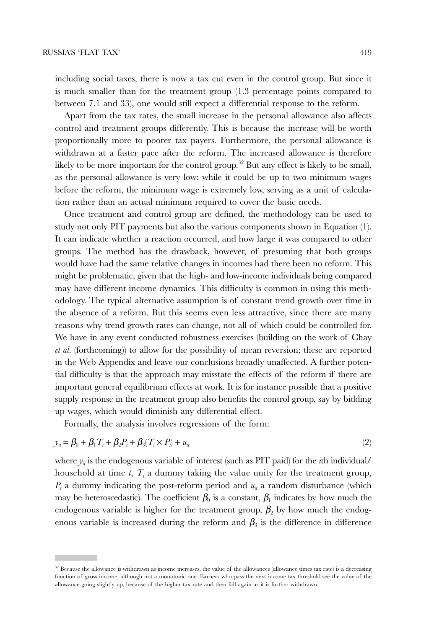including social taxes, there is now a tax cut even in the control group. But since it is much smaller than for the treatment group (1.3 percentage points compared to between 7.1 and 33), one would still expect a differential response to the reform.

Apart from the tax rates, the small increase in the personal allowance also affects control and treatment groups differently. This is because the increase will be worth proportionally more to poorer tax payers. Furthermore, the personal allowance is withdrawn at a faster pace after the reform. The increased allowance is therefore likely to be more important for the control group.<sup>32</sup> But any effect is likely to be small, as the personal allowance is very low: while it could be up to two minimum wages before the reform, the minimum wage is extremely low, serving as a unit of calculation rather than an actual minimum required to cover the basic needs.

Once treatment and control group are defined, the methodology can be used to study not only PIT payments but also the various components shown in Equation (1). It can indicate whether a reaction occurred, and how large it was compared to other groups. The method has the drawback, however, of presuming that both groups would have had the same relative changes in incomes had there been no reform. This might be problematic, given that the high- and low-income individuals being compared may have different income dynamics. This difficulty is common in using this methodology. The typical alternative assumption is of constant trend growth over time in the absence of a reform. But this seems even less attractive, since there are many reasons why trend growth rates can change, not all of which could be controlled for. We have in any event conducted robustness exercises (building on the work of Chay *et al.* (forthcoming)) to allow for the possibility of mean reversion; these are reported in the Web Appendix and leave our conclusions broadly unaffected. A further potential difficulty is that the approach may misstate the effects of the reform if there are important general equilibrium effects at work. It is for instance possible that a positive supply response in the treatment group also benefits the control group, say by bidding up wages, which would diminish any differential effect.

Formally, the analysis involves regressions of the form:

$$
y_{it} = \beta_0 + \beta_1 T_i + \beta_2 P_t + \beta_3 (T_i \times P_t) + u_{it}
$$
\n<sup>(2)</sup>

where  $y_i$  is the endogenous variable of interest (such as PIT paid) for the *i*th individual/ household at time  $t$ ,  $T_i$  a dummy taking the value unity for the treatment group,  $P_t$  a dummy indicating the post-reform period and  $u_i$  a random disturbance (which may be heteroscedastic). The coefficient  $\beta_0$  is a constant,  $\beta_1$  indicates by how much the endogenous variable is higher for the treatment group,  $\beta_2$  by how much the endogenous variable is increased during the reform and  $\beta_3$  is the difference in difference

<sup>&</sup>lt;sup>32</sup> Because the allowance is withdrawn as income increases, the value of the allowances (allowance times tax rate) is a decreasing function of gross income, although not a monotonic one. Earners who pass the next income tax threshold see the value of the allowance going slightly up, because of the higher tax rate and then fall again as it is further withdrawn.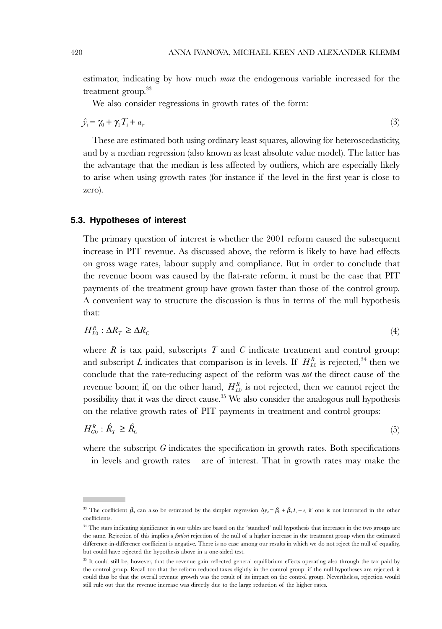estimator, indicating by how much *more* the endogenous variable increased for the treatment group.<sup>33</sup>

We also consider regressions in growth rates of the form:

 $\hat{y}_i = \gamma_0 + \gamma_1 T_i + u_i$  $\cdot$  (3)

These are estimated both using ordinary least squares, allowing for heteroscedasticity, and by a median regression (also known as least absolute value model). The latter has the advantage that the median is less affected by outliers, which are especially likely to arise when using growth rates (for instance if the level in the first year is close to zero).

#### **5.3. Hypotheses of interest**

The primary question of interest is whether the 2001 reform caused the subsequent increase in PIT revenue. As discussed above, the reform is likely to have had effects on gross wage rates, labour supply and compliance. But in order to conclude that the revenue boom was caused by the flat-rate reform, it must be the case that PIT payments of the treatment group have grown faster than those of the control group. A convenient way to structure the discussion is thus in terms of the null hypothesis that:

$$
H_{L0}^R: \Delta R_\tau \ge \Delta R_C \tag{4}
$$

where  $R$  is tax paid, subscripts  $T$  and  $C$  indicate treatment and control group; and subscript *L* indicates that comparison is in levels. If  $H_{L0}^R$  is rejected,<sup>34</sup> then we conclude that the rate-reducing aspect of the reform was *not* the direct cause of the revenue boom; if, on the other hand,  $H_{L0}^R$  is not rejected, then we cannot reject the possibility that it was the direct cause.<sup>35</sup> We also consider the analogous null hypothesis on the relative growth rates of PIT payments in treatment and control groups:

$$
H_{G0}^R: \hat{R}_T \ge \hat{R}_C \tag{5}
$$

where the subscript *G* indicates the specification in growth rates. Both specifications – in levels and growth rates – are of interest. That in growth rates may make the

<sup>&</sup>lt;sup>33</sup> The coefficient  $\beta_3$  can also be estimated by the simpler regression  $\Delta y_i = \beta_0 + \beta_3 T_i + e_i$  if one is not interested in the other coefficients.

<sup>34</sup> The stars indicating significance in our tables are based on the 'standard' null hypothesis that increases in the two groups are the same. Rejection of this implies *a fortiori* rejection of the null of a higher increase in the treatment group when the estimated difference-in-difference coefficient is negative. There is no case among our results in which we do not reject the null of equality, but could have rejected the hypothesis above in a one-sided test.

<sup>&</sup>lt;sup>35</sup> It could still be, however, that the revenue gain reflected general equilibrium effects operating also through the tax paid by the control group. Recall too that the reform reduced taxes slightly in the control group: if the null hypotheses are rejected, it could thus be that the overall revenue growth was the result of its impact on the control group. Nevertheless, rejection would still rule out that the revenue increase was directly due to the large reduction of the higher rates.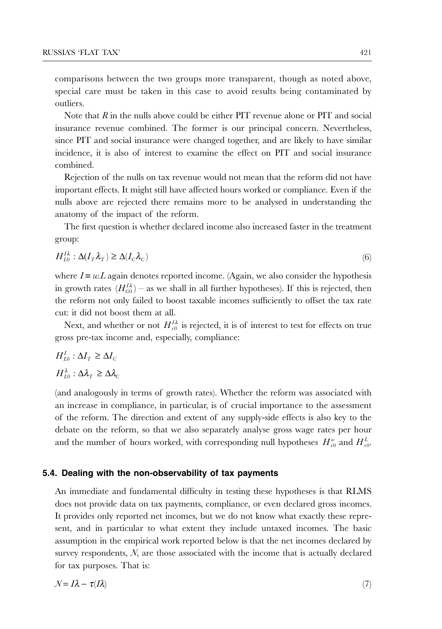comparisons between the two groups more transparent, though as noted above, special care must be taken in this case to avoid results being contaminated by outliers.

Note that *R* in the nulls above could be either PIT revenue alone or PIT and social insurance revenue combined. The former is our principal concern. Nevertheless, since PIT and social insurance were changed together, and are likely to have similar incidence, it is also of interest to examine the effect on PIT and social insurance combined.

Rejection of the nulls on tax revenue would not mean that the reform did not have important effects. It might still have affected hours worked or compliance. Even if the nulls above are rejected there remains more to be analysed in understanding the anatomy of the impact of the reform.

The first question is whether declared income also increased faster in the treatment group:

$$
H_{L0}^{I\lambda} : \Delta(I_T \lambda_T) \ge \Delta(I_c \lambda_c) \tag{6}
$$

where  $I \equiv w \cdot L$  again denotes reported income. (Again, we also consider the hypothesis in growth rates  $(H_{G0}^{I\lambda})$  – as we shall in all further hypotheses). If this is rejected, then the reform not only failed to boost taxable incomes sufficiently to offset the tax rate cut: it did not boost them at all.

Next, and whether or not  $H_{x0}^{I\lambda}$  is rejected, it is of interest to test for effects on true gross pre-tax income and, especially, compliance:

$$
H_{L0}^{I}: \Delta I_{T} \geq \Delta I_{C}
$$

$$
H_{L0}^{\lambda}: \Delta \lambda_{T} \geq \Delta \lambda_{C}
$$

(and analogously in terms of growth rates). Whether the reform was associated with an increase in compliance, in particular, is of crucial importance to the assessment of the reform. The direction and extent of any supply-side effects is also key to the debate on the reform, so that we also separately analyse gross wage rates per hour and the number of hours worked, with corresponding null hypotheses  $H_{x0}^w$  and  $H_{x0}^L$ .

#### **5.4. Dealing with the non-observability of tax payments**

An immediate and fundamental difficulty in testing these hypotheses is that RLMS does not provide data on tax payments, compliance, or even declared gross incomes. It provides only reported net incomes, but we do not know what exactly these represent, and in particular to what extent they include untaxed incomes. The basic assumption in the empirical work reported below is that the net incomes declared by survey respondents,  $N$ , are those associated with the income that is actually declared for tax purposes. That is:

$$
\mathcal{N} = I\lambda - \tau(I\lambda) \tag{7}
$$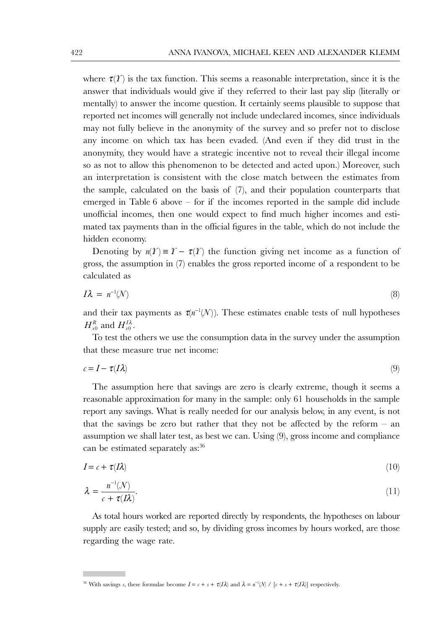where  $\tau(\gamma)$  is the tax function. This seems a reasonable interpretation, since it is the answer that individuals would give if they referred to their last pay slip (literally or mentally) to answer the income question. It certainly seems plausible to suppose that reported net incomes will generally not include undeclared incomes, since individuals may not fully believe in the anonymity of the survey and so prefer not to disclose any income on which tax has been evaded. (And even if they did trust in the anonymity, they would have a strategic incentive not to reveal their illegal income so as not to allow this phenomenon to be detected and acted upon.) Moreover, such an interpretation is consistent with the close match between the estimates from the sample, calculated on the basis of (7), and their population counterparts that emerged in Table 6 above – for if the incomes reported in the sample did include unofficial incomes, then one would expect to find much higher incomes and estimated tax payments than in the official figures in the table, which do not include the hidden economy.

Denoting by  $n(Y) \equiv Y - \tau(Y)$  the function giving net income as a function of gross, the assumption in (7) enables the gross reported income of a respondent to be calculated as

$$
I\lambda = n^{-1}(\mathcal{N})
$$
\n(8)

and their tax payments as  $\tau(n^{-1}(N))$ . These estimates enable tests of null hypotheses  $H_{x0}^R$  and  $H_{x0}^{I\lambda}$ .

To test the others we use the consumption data in the survey under the assumption that these measure true net income:

$$
c = I - \tau(I\lambda) \tag{9}
$$

The assumption here that savings are zero is clearly extreme, though it seems a reasonable approximation for many in the sample: only 61 households in the sample report any savings. What is really needed for our analysis below, in any event, is not that the savings be zero but rather that they not be affected by the reform  $-$  an assumption we shall later test, as best we can. Using (9), gross income and compliance can be estimated separately as:<sup>36</sup>

$$
I = c + \tau(I\lambda) \tag{10}
$$

$$
\lambda = \frac{n^{-1}(\mathcal{N})}{c + \tau(\mathcal{I}\lambda)}.\tag{11}
$$

As total hours worked are reported directly by respondents, the hypotheses on labour supply are easily tested; and so, by dividing gross incomes by hours worked, are those regarding the wage rate.

<sup>&</sup>lt;sup>36</sup> With savings *s*, these formulae become  $I = c + s + \tau(I\lambda)$  and  $\lambda = n^{-1}(\mathcal{N}) / [c + s + \tau(I\lambda)]$  respectively.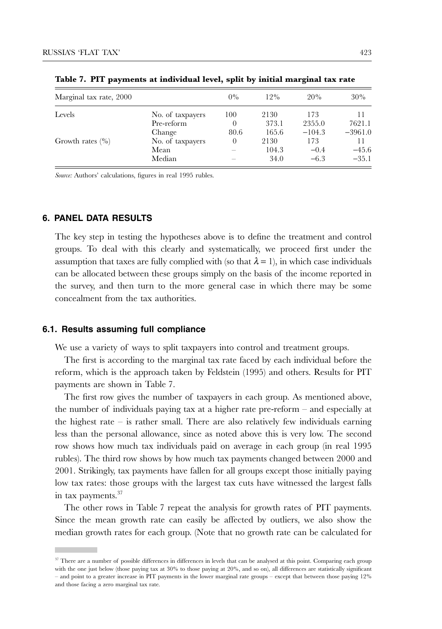| Marginal tax rate, 2000 |                  | $0\%$    | 12%   | 20%      | 30%       |
|-------------------------|------------------|----------|-------|----------|-----------|
| Levels                  | No. of taxpayers | 100      | 2130  | 173      | 11        |
|                         | Pre-reform       | $\theta$ | 373.1 | 2355.0   | 7621.1    |
|                         | Change           | 80.6     | 165.6 | $-104.3$ | $-3961.0$ |
| Growth rates $(\% )$    | No. of taxpayers | $\theta$ | 2130  | 173      | 11        |
|                         | Mean             |          | 104.3 | $-0.4$   | $-45.6$   |
|                         | Median           |          | 34.0  | $-6.3$   | $-35.1$   |

**Table 7. PIT payments at individual level, split by initial marginal tax rate**

*Source:* Authors' calculations, figures in real 1995 rubles.

# **6. PANEL DATA RESULTS**

The key step in testing the hypotheses above is to define the treatment and control groups. To deal with this clearly and systematically, we proceed first under the assumption that taxes are fully complied with (so that  $\lambda = 1$ ), in which case individuals can be allocated between these groups simply on the basis of the income reported in the survey, and then turn to the more general case in which there may be some concealment from the tax authorities.

#### **6.1. Results assuming full compliance**

We use a variety of ways to split taxpayers into control and treatment groups.

The first is according to the marginal tax rate faced by each individual before the reform, which is the approach taken by Feldstein (1995) and others. Results for PIT payments are shown in Table 7.

The first row gives the number of taxpayers in each group. As mentioned above, the number of individuals paying tax at a higher rate pre-reform – and especially at the highest rate – is rather small. There are also relatively few individuals earning less than the personal allowance, since as noted above this is very low. The second row shows how much tax individuals paid on average in each group (in real 1995 rubles). The third row shows by how much tax payments changed between 2000 and 2001. Strikingly, tax payments have fallen for all groups except those initially paying low tax rates: those groups with the largest tax cuts have witnessed the largest falls in tax payments.<sup>37</sup>

The other rows in Table 7 repeat the analysis for growth rates of PIT payments. Since the mean growth rate can easily be affected by outliers, we also show the median growth rates for each group. (Note that no growth rate can be calculated for

<sup>&</sup>lt;sup>37</sup> There are a number of possible differences in differences in levels that can be analysed at this point. Comparing each group with the one just below (those paying tax at 30% to those paying at 20%, and so on), all differences are statistically significant – and point to a greater increase in PIT payments in the lower marginal rate groups – except that between those paying 12% and those facing a zero marginal tax rate.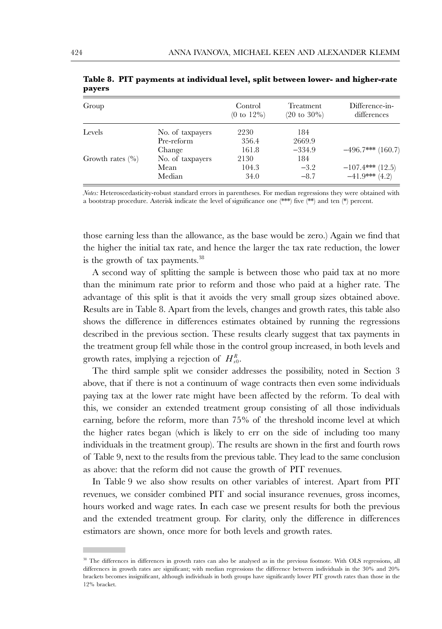| Group                |                  | Control<br>$(0 to 12\%)$ | Treatment<br>$(20 \text{ to } 30\%)$ | Difference-in-<br>differences |
|----------------------|------------------|--------------------------|--------------------------------------|-------------------------------|
| Levels               | No. of taxpayers | 2230                     | 184                                  |                               |
|                      | Pre-reform       | 356.4                    | 2669.9                               |                               |
|                      | Change           | 161.8                    | $-334.9$                             | $-496.7$ *** (160.7)          |
| Growth rates $(\% )$ | No. of taxpayers | 2130                     | 184                                  |                               |
|                      | Mean             | 104.3                    | $-3.2$                               | $-107.4***$ (12.5)            |
|                      | Median           | 34.0                     | $-8.7$                               | $-41.9***$ (4.2)              |

**Table 8. PIT payments at individual level, split between lower- and higher-rate payers**

*Notes:* Heteroscedasticity-robust standard errors in parentheses. For median regressions they were obtained with a bootstrap procedure. Asterisk indicate the level of significance one (\*\*\*) five (\*\*) and ten (\*) percent.

those earning less than the allowance, as the base would be zero.) Again we find that the higher the initial tax rate, and hence the larger the tax rate reduction, the lower is the growth of tax payments.<sup>38</sup>

A second way of splitting the sample is between those who paid tax at no more than the minimum rate prior to reform and those who paid at a higher rate. The advantage of this split is that it avoids the very small group sizes obtained above. Results are in Table 8. Apart from the levels, changes and growth rates, this table also shows the difference in differences estimates obtained by running the regressions described in the previous section. These results clearly suggest that tax payments in the treatment group fell while those in the control group increased, in both levels and growth rates, implying a rejection of  $H_{x0}^R$ .

The third sample split we consider addresses the possibility, noted in Section 3 above, that if there is not a continuum of wage contracts then even some individuals paying tax at the lower rate might have been affected by the reform. To deal with this, we consider an extended treatment group consisting of all those individuals earning, before the reform, more than 75% of the threshold income level at which the higher rates began (which is likely to err on the side of including too many individuals in the treatment group). The results are shown in the first and fourth rows of Table 9, next to the results from the previous table. They lead to the same conclusion as above: that the reform did not cause the growth of PIT revenues.

In Table 9 we also show results on other variables of interest. Apart from PIT revenues, we consider combined PIT and social insurance revenues, gross incomes, hours worked and wage rates. In each case we present results for both the previous and the extended treatment group. For clarity, only the difference in differences estimators are shown, once more for both levels and growth rates.

<sup>&</sup>lt;sup>38</sup> The differences in differences in growth rates can also be analysed as in the previous footnote. With OLS regressions, all differences in growth rates are significant; with median regressions the difference between individuals in the 30% and 20% brackets becomes insignificant, although individuals in both groups have significantly lower PIT growth rates than those in the 12% bracket.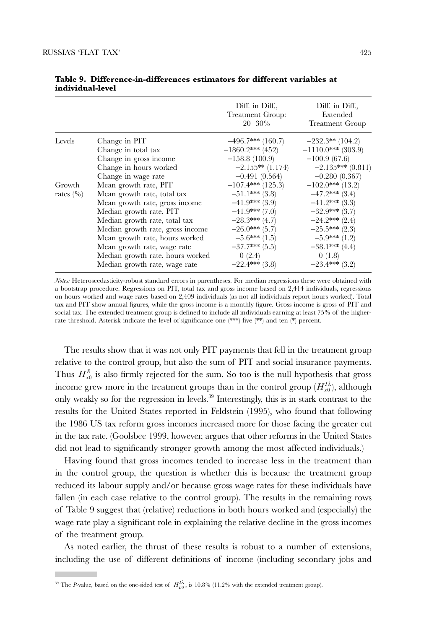|               |                                      | Diff. in Diff.,<br><b>Treatment Group:</b><br>$20 - 30\%$ | Diff. in Diff.,<br>Extended<br><b>Treatment Group</b> |
|---------------|--------------------------------------|-----------------------------------------------------------|-------------------------------------------------------|
| Levels        | Change in PIT<br>Change in total tax | $-496.7$ *** (160.7)<br>$-1860.2$ *** (452)               | $-232.3$ ** (104.2)<br>$-1110.0***$ (303.9)           |
|               | Change in gross income               | $-158.8(100.9)$                                           | $-100.9(67.6)$                                        |
|               | Change in hours worked               | $-2.155$ ** (1.174)                                       | $-2.135***$ (0.811)                                   |
|               | Change in wage rate                  | $-0.491(0.564)$                                           | $-0.280(0.367)$                                       |
| Growth        | Mean growth rate, PIT                | $-107.4***$ (125.3)                                       | $-102.0$ *** (13.2)                                   |
| rates $(\% )$ | Mean growth rate, total tax          | $-51.1***$ (3.8)                                          | $-47.2$ *** (3.4)                                     |
|               | Mean growth rate, gross income       | $-41.9***$ (3.9)                                          | $-41.2$ *** (3.3)                                     |
|               | Median growth rate, PIT              | $-41.9***$ (7.0)                                          | $-32.9***$ (3.7)                                      |
|               | Median growth rate, total tax        | $-28.3$ *** $(4.7)$                                       | $-24.2$ *** (2.4)                                     |
|               | Median growth rate, gross income     | $-26.0***$ (5.7)                                          | $-25.5$ *** $(2.3)$                                   |
|               | Mean growth rate, hours worked       | $-5.6***$ (1.5)                                           | $-5.9***$ (1.2)                                       |
|               | Mean growth rate, wage rate          | $-37.7***$ (5.5)                                          | $-38.1***$ (4.4)                                      |
|               | Median growth rate, hours worked     | 0(2.4)                                                    | 0(1.8)                                                |
|               | Median growth rate, wage rate        | $-22.4***$ (3.8)                                          | $-23.4***$ (3.2)                                      |

#### **Table 9. Difference-in-differences estimators for different variables at individual-level**

*Notes:* Heteroscedasticity-robust standard errors in parentheses. For median regressions these were obtained with a bootstrap procedure. Regressions on PIT, total tax and gross income based on 2,414 individuals, regressions on hours worked and wage rates based on 2,409 individuals (as not all individuals report hours worked). Total tax and PIT show annual figures, while the gross income is a monthly figure. Gross income is gross of PIT and social tax. The extended treatment group is defined to include all individuals earning at least 75% of the higherrate threshold. Asterisk indicate the level of significance one (\*\*\*) five (\*\*) and ten (\*) percent.

The results show that it was not only PIT payments that fell in the treatment group relative to the control group, but also the sum of PIT and social insurance payments. Thus  $H_{x0}^R$  is also firmly rejected for the sum. So too is the null hypothesis that gross income grew more in the treatment groups than in the control group  $(H_{x0}^{I\lambda})$ , although only weakly so for the regression in levels.<sup>39</sup> Interestingly, this is in stark contrast to the results for the United States reported in Feldstein (1995), who found that following the 1986 US tax reform gross incomes increased more for those facing the greater cut in the tax rate. (Goolsbee 1999, however, argues that other reforms in the United States did not lead to significantly stronger growth among the most affected individuals.)

Having found that gross incomes tended to increase less in the treatment than in the control group, the question is whether this is because the treatment group reduced its labour supply and/or because gross wage rates for these individuals have fallen (in each case relative to the control group). The results in the remaining rows of Table 9 suggest that (relative) reductions in both hours worked and (especially) the wage rate play a significant role in explaining the relative decline in the gross incomes of the treatment group.

As noted earlier, the thrust of these results is robust to a number of extensions, including the use of different definitions of income (including secondary jobs and

<sup>&</sup>lt;sup>39</sup> The *P*-value, based on the one-sided test of  $H_{L0}^{I\lambda}$ , is 10.8% (11.2% with the extended treatment group).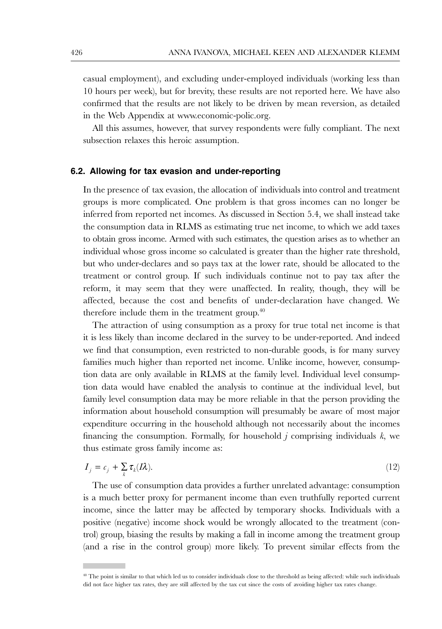casual employment), and excluding under-employed individuals (working less than 10 hours per week), but for brevity, these results are not reported here. We have also confirmed that the results are not likely to be driven by mean reversion, as detailed in the Web Appendix at www.economic-polic.org.

All this assumes, however, that survey respondents were fully compliant. The next subsection relaxes this heroic assumption.

#### **6.2. Allowing for tax evasion and under-reporting**

In the presence of tax evasion, the allocation of individuals into control and treatment groups is more complicated. One problem is that gross incomes can no longer be inferred from reported net incomes. As discussed in Section 5.4, we shall instead take the consumption data in RLMS as estimating true net income, to which we add taxes to obtain gross income. Armed with such estimates, the question arises as to whether an individual whose gross income so calculated is greater than the higher rate threshold, but who under-declares and so pays tax at the lower rate, should be allocated to the treatment or control group. If such individuals continue not to pay tax after the reform, it may seem that they were unaffected. In reality, though, they will be affected, because the cost and benefits of under-declaration have changed. We therefore include them in the treatment group. $40$ 

The attraction of using consumption as a proxy for true total net income is that it is less likely than income declared in the survey to be under-reported. And indeed we find that consumption, even restricted to non-durable goods, is for many survey families much higher than reported net income. Unlike income, however, consumption data are only available in RLMS at the family level. Individual level consumption data would have enabled the analysis to continue at the individual level, but family level consumption data may be more reliable in that the person providing the information about household consumption will presumably be aware of most major expenditure occurring in the household although not necessarily about the incomes financing the consumption. Formally, for household *j* comprising individuals *k*, we thus estimate gross family income as:

$$
I_j = c_j + \sum_k \tau_k(\mathcal{I}\lambda). \tag{12}
$$

The use of consumption data provides a further unrelated advantage: consumption is a much better proxy for permanent income than even truthfully reported current income, since the latter may be affected by temporary shocks. Individuals with a positive (negative) income shock would be wrongly allocated to the treatment (control) group, biasing the results by making a fall in income among the treatment group (and a rise in the control group) more likely. To prevent similar effects from the

<sup>&</sup>lt;sup>40</sup> The point is similar to that which led us to consider individuals close to the threshold as being affected: while such individuals did not face higher tax rates, they are still affected by the tax cut since the costs of avoiding higher tax rates change.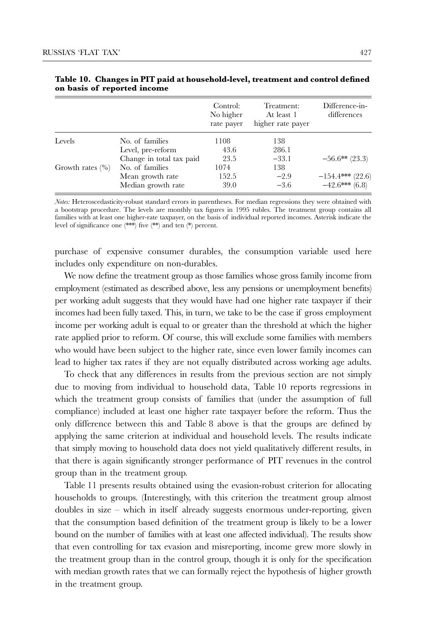|                      |                          | Control:<br>No higher<br>rate payer | Treatment:<br>At least 1<br>higher rate payer | Difference-in-<br>differences |
|----------------------|--------------------------|-------------------------------------|-----------------------------------------------|-------------------------------|
| Levels               | No. of families          | 1108                                | 138                                           |                               |
|                      | Level, pre-reform        | 43.6                                | 286.1                                         |                               |
|                      | Change in total tax paid | 23.5                                | $-33.1$                                       | $-56.6$ ** (23.3)             |
| Growth rates $(\% )$ | No. of families          | 1074                                | 138                                           |                               |
|                      | Mean growth rate         | 152.5                               | $-2.9$                                        | $-154.4***$ (22.6)            |
|                      | Median growth rate       | 39.0                                | $-3.6$                                        | $-42.6$ *** (6.8)             |

**Table 10. Changes in PIT paid at household-level, treatment and control defined on basis of reported income**

*Notes:* Heteroscedasticity-robust standard errors in parentheses. For median regressions they were obtained with a bootstrap procedure. The levels are monthly tax figures in 1995 rubles. The treatment group contains all families with at least one higher-rate taxpayer, on the basis of individual reported incomes. Asterisk indicate the level of significance one (\*\*\*) five (\*\*) and ten (\*) percent.

purchase of expensive consumer durables, the consumption variable used here includes only expenditure on non-durables.

We now define the treatment group as those families whose gross family income from employment (estimated as described above, less any pensions or unemployment benefits) per working adult suggests that they would have had one higher rate taxpayer if their incomes had been fully taxed. This, in turn, we take to be the case if gross employment income per working adult is equal to or greater than the threshold at which the higher rate applied prior to reform. Of course, this will exclude some families with members who would have been subject to the higher rate, since even lower family incomes can lead to higher tax rates if they are not equally distributed across working age adults.

To check that any differences in results from the previous section are not simply due to moving from individual to household data, Table 10 reports regressions in which the treatment group consists of families that (under the assumption of full compliance) included at least one higher rate taxpayer before the reform. Thus the only difference between this and Table 8 above is that the groups are defined by applying the same criterion at individual and household levels. The results indicate that simply moving to household data does not yield qualitatively different results, in that there is again significantly stronger performance of PIT revenues in the control group than in the treatment group.

Table 11 presents results obtained using the evasion-robust criterion for allocating households to groups. (Interestingly, with this criterion the treatment group almost doubles in size – which in itself already suggests enormous under-reporting, given that the consumption based definition of the treatment group is likely to be a lower bound on the number of families with at least one affected individual). The results show that even controlling for tax evasion and misreporting, income grew more slowly in the treatment group than in the control group, though it is only for the specification with median growth rates that we can formally reject the hypothesis of higher growth in the treatment group.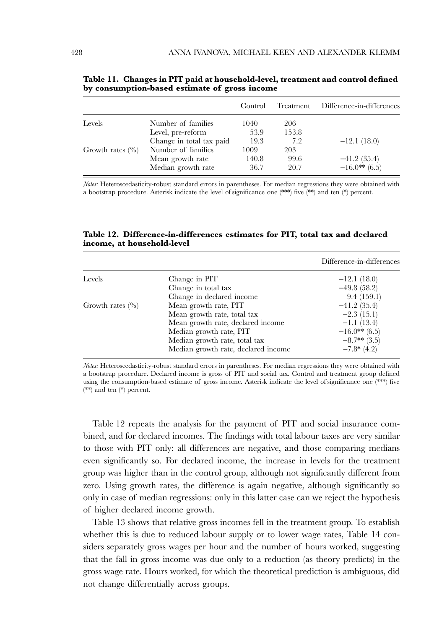|                      |                          | Control | Treatment | Difference-in-differences |
|----------------------|--------------------------|---------|-----------|---------------------------|
| Levels               | Number of families       | 1040    | 206       |                           |
|                      | Level, pre-reform        | 53.9    | 153.8     |                           |
|                      | Change in total tax paid | 19.3    | 7.2       | $-12.1(18.0)$             |
| Growth rates $(\% )$ | Number of families       | 1009    | 203       |                           |
|                      | Mean growth rate         | 140.8   | 99.6      | $-41.2(35.4)$             |
|                      | Median growth rate       | 36.7    | 20.7      | $-16.0**$ (6.5)           |

**Table 11. Changes in PIT paid at household-level, treatment and control defined by consumption-based estimate of gross income**

*Notes:* Heteroscedasticity-robust standard errors in parentheses. For median regressions they were obtained with a bootstrap procedure. Asterisk indicate the level of significance one (\*\*\*) five (\*\*) and ten (\*) percent.

#### **Table 12. Difference-in-differences estimates for PIT, total tax and declared income, at household-level**

|                      |                                     | Difference-in-differences |
|----------------------|-------------------------------------|---------------------------|
| Levels               | Change in PIT                       | $-12.1(18.0)$             |
|                      | Change in total tax                 | $-49.8(58.2)$             |
|                      | Change in declared income           | 9.4(159.1)                |
| Growth rates $(\% )$ | Mean growth rate, PIT               | $-41.2(35.4)$             |
|                      | Mean growth rate, total tax         | $-2.3(15.1)$              |
|                      | Mean growth rate, declared income   | $-1.1(13.4)$              |
|                      | Median growth rate, PIT             | $-16.0**$ (6.5)           |
|                      | Median growth rate, total tax       | $-8.7**$ (3.5)            |
|                      | Median growth rate, declared income | $-7.8*(4.2)$              |

*Notes:* Heteroscedasticity-robust standard errors in parentheses. For median regressions they were obtained with a bootstrap procedure. Declared income is gross of PIT and social tax. Control and treatment group defined using the consumption-based estimate of gross income. Asterisk indicate the level of significance one (\*\*\*) five (\*\*) and ten (\*) percent.

Table 12 repeats the analysis for the payment of PIT and social insurance combined, and for declared incomes. The findings with total labour taxes are very similar to those with PIT only: all differences are negative, and those comparing medians even significantly so. For declared income, the increase in levels for the treatment group was higher than in the control group, although not significantly different from zero. Using growth rates, the difference is again negative, although significantly so only in case of median regressions: only in this latter case can we reject the hypothesis of higher declared income growth.

Table 13 shows that relative gross incomes fell in the treatment group. To establish whether this is due to reduced labour supply or to lower wage rates, Table 14 considers separately gross wages per hour and the number of hours worked, suggesting that the fall in gross income was due only to a reduction (as theory predicts) in the gross wage rate. Hours worked, for which the theoretical prediction is ambiguous, did not change differentially across groups.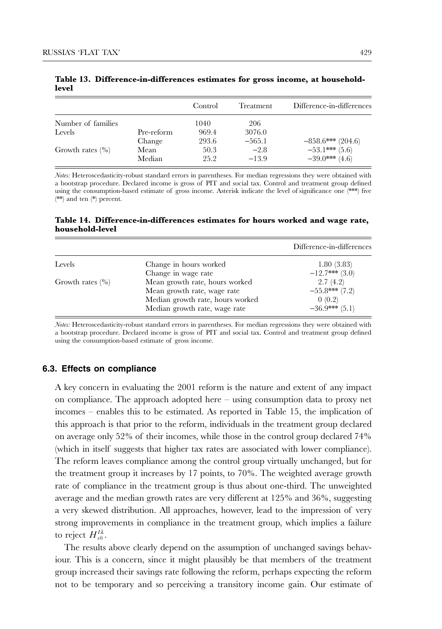|            | Control | Treatment | Difference-in-differences |
|------------|---------|-----------|---------------------------|
|            | 1040.   | 206       |                           |
| Pre-reform | 969.4   | 3076.0    |                           |
| Change     | 293.6   | $-565.1$  | $-858.6$ *** (204.6)      |
| Mean       | 50.3    | $-2.8$    | $-53.1***$ (5.6)          |
| Median     | 25.2    | $-13.9$   | $-39.0***$ (4.6)          |
|            |         |           |                           |

**Table 13. Difference-in-differences estimates for gross income, at householdlevel**

*Notes:* Heteroscedasticity-robust standard errors in parentheses. For median regressions they were obtained with a bootstrap procedure. Declared income is gross of PIT and social tax. Control and treatment group defined using the consumption-based estimate of gross income. Asterisk indicate the level of significance one (\*\*\*) five (\*\*) and ten (\*) percent.

**Table 14. Difference-in-differences estimates for hours worked and wage rate, household-level**

|                      |                                  | Difference-in-differences |
|----------------------|----------------------------------|---------------------------|
| Levels               | Change in hours worked           | 1.80(3.83)                |
|                      | Change in wage rate              | $-12.7***$ (3.0)          |
| Growth rates $(\% )$ | Mean growth rate, hours worked   | 2.7(4.2)                  |
|                      | Mean growth rate, wage rate      | $-55.8$ *** (7.2)         |
|                      | Median growth rate, hours worked | 0(0.2)                    |
|                      | Median growth rate, wage rate    | $-36.9***$ (5.1)          |

*Notes:* Heteroscedasticity-robust standard errors in parentheses. For median regressions they were obtained with a bootstrap procedure. Declared income is gross of PIT and social tax. Control and treatment group defined using the consumption-based estimate of gross income.

#### **6.3. Effects on compliance**

A key concern in evaluating the 2001 reform is the nature and extent of any impact on compliance. The approach adopted here – using consumption data to proxy net incomes – enables this to be estimated. As reported in Table 15, the implication of this approach is that prior to the reform, individuals in the treatment group declared on average only 52% of their incomes, while those in the control group declared 74% (which in itself suggests that higher tax rates are associated with lower compliance). The reform leaves compliance among the control group virtually unchanged, but for the treatment group it increases by 17 points, to 70%. The weighted average growth rate of compliance in the treatment group is thus about one-third. The unweighted average and the median growth rates are very different at 125% and 36%, suggesting a very skewed distribution. All approaches, however, lead to the impression of very strong improvements in compliance in the treatment group, which implies a failure to reject  $H_{x0}^{I\lambda}$ .

The results above clearly depend on the assumption of unchanged savings behaviour. This is a concern, since it might plausibly be that members of the treatment group increased their savings rate following the reform, perhaps expecting the reform not to be temporary and so perceiving a transitory income gain. Our estimate of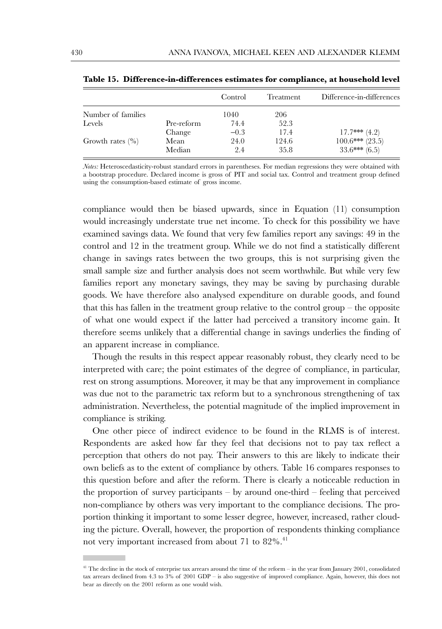|                      |            | Control | Treatment | Difference-in-differences |
|----------------------|------------|---------|-----------|---------------------------|
| Number of families   |            | 1040    | 206       |                           |
| Levels               | Pre-reform | 74.4    | 52.3      |                           |
|                      | Change     | $-0.3$  | 17.4      | $17.7***$ $(4.2)$         |
| Growth rates $(\% )$ | Mean       | 24.0    | 124.6     | $100.6***$ (23.5)         |
|                      | Median     | 2.4     | 35.8      | $33.6***(6.5)$            |

*Notes:* Heteroscedasticity-robust standard errors in parentheses. For median regressions they were obtained with a bootstrap procedure. Declared income is gross of PIT and social tax. Control and treatment group defined using the consumption-based estimate of gross income.

compliance would then be biased upwards, since in Equation (11) consumption would increasingly understate true net income. To check for this possibility we have examined savings data. We found that very few families report any savings: 49 in the control and 12 in the treatment group. While we do not find a statistically different change in savings rates between the two groups, this is not surprising given the small sample size and further analysis does not seem worthwhile. But while very few families report any monetary savings, they may be saving by purchasing durable goods. We have therefore also analysed expenditure on durable goods, and found that this has fallen in the treatment group relative to the control group – the opposite of what one would expect if the latter had perceived a transitory income gain. It therefore seems unlikely that a differential change in savings underlies the finding of an apparent increase in compliance.

Though the results in this respect appear reasonably robust, they clearly need to be interpreted with care; the point estimates of the degree of compliance, in particular, rest on strong assumptions. Moreover, it may be that any improvement in compliance was due not to the parametric tax reform but to a synchronous strengthening of tax administration. Nevertheless, the potential magnitude of the implied improvement in compliance is striking.

One other piece of indirect evidence to be found in the RLMS is of interest. Respondents are asked how far they feel that decisions not to pay tax reflect a perception that others do not pay. Their answers to this are likely to indicate their own beliefs as to the extent of compliance by others. Table 16 compares responses to this question before and after the reform. There is clearly a noticeable reduction in the proportion of survey participants – by around one-third – feeling that perceived non-compliance by others was very important to the compliance decisions. The proportion thinking it important to some lesser degree, however, increased, rather clouding the picture. Overall, however, the proportion of respondents thinking compliance not very important increased from about 71 to  $82\%$ .<sup>41</sup>

<sup>41</sup> The decline in the stock of enterprise tax arrears around the time of the reform – in the year from January 2001, consolidated tax arrears declined from 4.3 to 3% of 2001 GDP – is also suggestive of improved compliance. Again, however, this does not bear as directly on the 2001 reform as one would wish.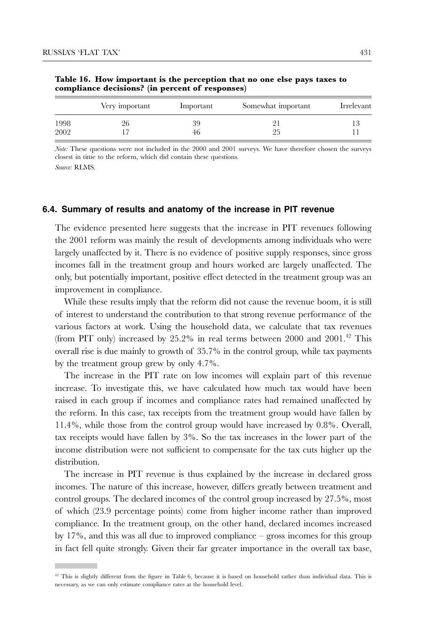|      | Very important | Important | Somewhat important | Irrelevant |
|------|----------------|-----------|--------------------|------------|
| 1998 | 26             | 39        |                    |            |
| 2002 |                | 46        |                    |            |

**Table 16. How important is the perception that no one else pays taxes to compliance decisions? (in percent of responses)**

*Note:* These questions were not included in the 2000 and 2001 surveys. We have therefore chosen the surveys closest in time to the reform, which did contain these questions.

*Source:* RLMS.

#### **6.4. Summary of results and anatomy of the increase in PIT revenue**

The evidence presented here suggests that the increase in PIT revenues following the 2001 reform was mainly the result of developments among individuals who were largely unaffected by it. There is no evidence of positive supply responses, since gross incomes fall in the treatment group and hours worked are largely unaffected. The only, but potentially important, positive effect detected in the treatment group was an improvement in compliance.

While these results imply that the reform did not cause the revenue boom, it is still of interest to understand the contribution to that strong revenue performance of the various factors at work. Using the household data, we calculate that tax revenues (from PIT only) increased by 25.2% in real terms between 2000 and 2001.<sup>42</sup> This overall rise is due mainly to growth of 35.7% in the control group, while tax payments by the treatment group grew by only 4.7%.

The increase in the PIT rate on low incomes will explain part of this revenue increase. To investigate this, we have calculated how much tax would have been raised in each group if incomes and compliance rates had remained unaffected by the reform. In this case, tax receipts from the treatment group would have fallen by 11.4%, while those from the control group would have increased by 0.8%. Overall, tax receipts would have fallen by 3%. So the tax increases in the lower part of the income distribution were not sufficient to compensate for the tax cuts higher up the distribution.

The increase in PIT revenue is thus explained by the increase in declared gross incomes. The nature of this increase, however, differs greatly between treatment and control groups. The declared incomes of the control group increased by 27.5%, most of which (23.9 percentage points) come from higher income rather than improved compliance. In the treatment group, on the other hand, declared incomes increased by 17%, and this was all due to improved compliance – gross incomes for this group in fact fell quite strongly. Given their far greater importance in the overall tax base,

 $42$  This is slightly different from the figure in Table 6, because it is based on household rather than individual data. This is necessary, as we can only estimate compliance rates at the household level.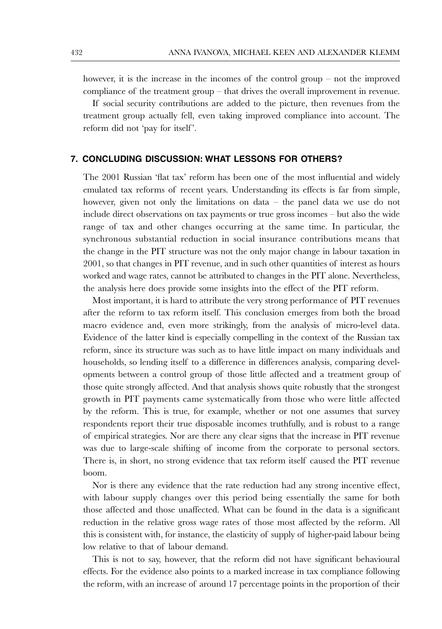however, it is the increase in the incomes of the control group – not the improved compliance of the treatment group – that drives the overall improvement in revenue.

If social security contributions are added to the picture, then revenues from the treatment group actually fell, even taking improved compliance into account. The reform did not 'pay for itself '.

#### **7. CONCLUDING DISCUSSION: WHAT LESSONS FOR OTHERS?**

The 2001 Russian 'flat tax' reform has been one of the most influential and widely emulated tax reforms of recent years. Understanding its effects is far from simple, however, given not only the limitations on data – the panel data we use do not include direct observations on tax payments or true gross incomes – but also the wide range of tax and other changes occurring at the same time. In particular, the synchronous substantial reduction in social insurance contributions means that the change in the PIT structure was not the only major change in labour taxation in 2001, so that changes in PIT revenue, and in such other quantities of interest as hours worked and wage rates, cannot be attributed to changes in the PIT alone. Nevertheless, the analysis here does provide some insights into the effect of the PIT reform.

Most important, it is hard to attribute the very strong performance of PIT revenues after the reform to tax reform itself. This conclusion emerges from both the broad macro evidence and, even more strikingly, from the analysis of micro-level data. Evidence of the latter kind is especially compelling in the context of the Russian tax reform, since its structure was such as to have little impact on many individuals and households, so lending itself to a difference in differences analysis, comparing developments between a control group of those little affected and a treatment group of those quite strongly affected. And that analysis shows quite robustly that the strongest growth in PIT payments came systematically from those who were little affected by the reform. This is true, for example, whether or not one assumes that survey respondents report their true disposable incomes truthfully, and is robust to a range of empirical strategies. Nor are there any clear signs that the increase in PIT revenue was due to large-scale shifting of income from the corporate to personal sectors. There is, in short, no strong evidence that tax reform itself caused the PIT revenue boom.

Nor is there any evidence that the rate reduction had any strong incentive effect, with labour supply changes over this period being essentially the same for both those affected and those unaffected. What can be found in the data is a significant reduction in the relative gross wage rates of those most affected by the reform. All this is consistent with, for instance, the elasticity of supply of higher-paid labour being low relative to that of labour demand.

This is not to say, however, that the reform did not have significant behavioural effects. For the evidence also points to a marked increase in tax compliance following the reform, with an increase of around 17 percentage points in the proportion of their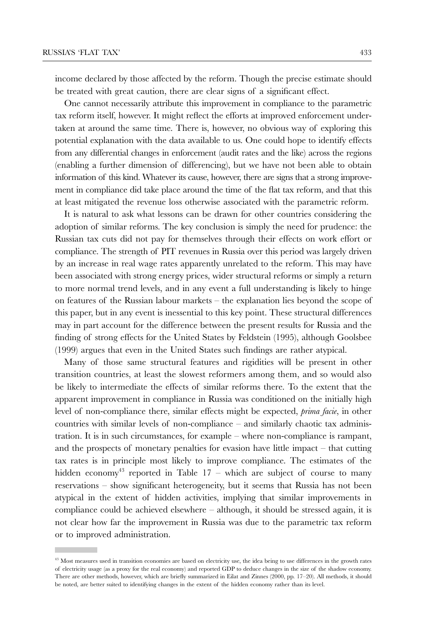income declared by those affected by the reform. Though the precise estimate should be treated with great caution, there are clear signs of a significant effect.

One cannot necessarily attribute this improvement in compliance to the parametric tax reform itself, however. It might reflect the efforts at improved enforcement undertaken at around the same time. There is, however, no obvious way of exploring this potential explanation with the data available to us. One could hope to identify effects from any differential changes in enforcement (audit rates and the like) across the regions (enabling a further dimension of differencing), but we have not been able to obtain information of this kind. Whatever its cause, however, there are signs that a strong improvement in compliance did take place around the time of the flat tax reform, and that this at least mitigated the revenue loss otherwise associated with the parametric reform.

It is natural to ask what lessons can be drawn for other countries considering the adoption of similar reforms. The key conclusion is simply the need for prudence: the Russian tax cuts did not pay for themselves through their effects on work effort or compliance. The strength of PIT revenues in Russia over this period was largely driven by an increase in real wage rates apparently unrelated to the reform. This may have been associated with strong energy prices, wider structural reforms or simply a return to more normal trend levels, and in any event a full understanding is likely to hinge on features of the Russian labour markets – the explanation lies beyond the scope of this paper, but in any event is inessential to this key point. These structural differences may in part account for the difference between the present results for Russia and the finding of strong effects for the United States by Feldstein (1995), although Goolsbee (1999) argues that even in the United States such findings are rather atypical.

Many of those same structural features and rigidities will be present in other transition countries, at least the slowest reformers among them, and so would also be likely to intermediate the effects of similar reforms there. To the extent that the apparent improvement in compliance in Russia was conditioned on the initially high level of non-compliance there, similar effects might be expected, *prima facie*, in other countries with similar levels of non-compliance – and similarly chaotic tax administration. It is in such circumstances, for example – where non-compliance is rampant, and the prospects of monetary penalties for evasion have little impact – that cutting tax rates is in principle most likely to improve compliance. The estimates of the hidden economy<sup>43</sup> reported in Table 17 – which are subject of course to many reservations – show significant heterogeneity, but it seems that Russia has not been atypical in the extent of hidden activities, implying that similar improvements in compliance could be achieved elsewhere – although, it should be stressed again, it is not clear how far the improvement in Russia was due to the parametric tax reform or to improved administration.

<sup>&</sup>lt;sup>43</sup> Most measures used in transition economies are based on electricity use, the idea being to use differences in the growth rates of electricity usage (as a proxy for the real economy) and reported GDP to deduce changes in the size of the shadow economy. There are other methods, however, which are briefly summarized in Eilat and Zinnes (2000, pp. 17–20). All methods, it should be noted, are better suited to identifying changes in the extent of the hidden economy rather than its level.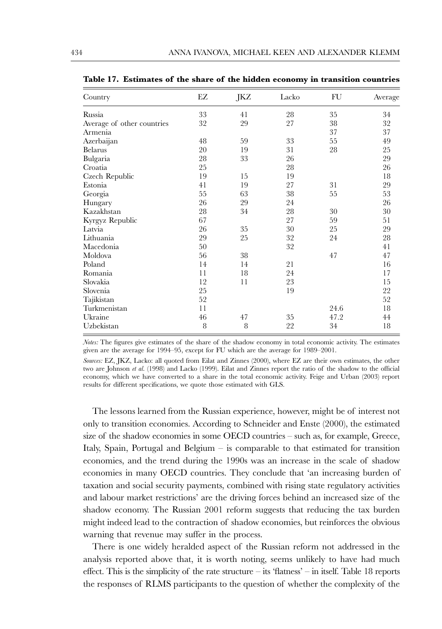| Country                    | EZ | JKZ | Lacko | FU   | Average |
|----------------------------|----|-----|-------|------|---------|
| Russia                     | 33 | 41  | 28    | 35   | 34      |
| Average of other countries | 32 | 29  | 27    | 38   | 32      |
| Armenia                    |    |     |       | 37   | 37      |
| Azerbaijan                 | 48 | 59  | 33    | 55   | 49      |
| <b>Belarus</b>             | 20 | 19  | 31    | 28   | 25      |
| Bulgaria                   | 28 | 33  | 26    |      | 29      |
| Croatia                    | 25 |     | 28    |      | 26      |
| Czech Republic             | 19 | 15  | 19    |      | 18      |
| Estonia                    | 41 | 19  | 27    | 31   | 29      |
| Georgia                    | 55 | 63  | 38    | 55   | 53      |
| Hungary                    | 26 | 29  | 24    |      | 26      |
| Kazakhstan                 | 28 | 34  | 28    | 30   | 30      |
| Kyrgyz Republic            | 67 |     | 27    | 59   | 51      |
| Latvia                     | 26 | 35  | 30    | 25   | 29      |
| Lithuania                  | 29 | 25  | 32    | 24   | 28      |
| Macedonia                  | 50 |     | 32    |      | 41      |
| Moldova                    | 56 | 38  |       | 47   | 47      |
| Poland                     | 14 | 14  | 21    |      | 16      |
| Romania                    | 11 | 18  | 24    |      | 17      |
| Slovakia                   | 12 | 11  | 23    |      | 15      |
| Slovenia                   | 25 |     | 19    |      | 22      |
| Tajikistan                 | 52 |     |       |      | 52      |
| Turkmenistan               | 11 |     |       | 24.6 | 18      |
| Ukraine                    | 46 | 47  | 35    | 47.2 | 44      |
| Uzbekistan                 | 8  | 8   | 22    | 34   | 18      |

**Table 17. Estimates of the share of the hidden economy in transition countries**

*Notes:* The figures give estimates of the share of the shadow economy in total economic activity. The estimates given are the average for 1994–95, except for FU which are the average for 1989–2001.

*Sources:* EZ, JKZ, Lacko: all quoted from Eilat and Zinnes (2000), where EZ are their own estimates, the other two are Johnson *et al.* (1998) and Lacko (1999). Eilat and Zinnes report the ratio of the shadow to the official economy, which we have converted to a share in the total economic activity. Feige and Urban (2003) report results for different specifications, we quote those estimated with GLS.

The lessons learned from the Russian experience, however, might be of interest not only to transition economies. According to Schneider and Enste (2000), the estimated size of the shadow economies in some OECD countries – such as, for example, Greece, Italy, Spain, Portugal and Belgium  $-$  is comparable to that estimated for transition economies, and the trend during the 1990s was an increase in the scale of shadow economies in many OECD countries. They conclude that 'an increasing burden of taxation and social security payments, combined with rising state regulatory activities and labour market restrictions' are the driving forces behind an increased size of the shadow economy. The Russian 2001 reform suggests that reducing the tax burden might indeed lead to the contraction of shadow economies, but reinforces the obvious warning that revenue may suffer in the process.

There is one widely heralded aspect of the Russian reform not addressed in the analysis reported above that, it is worth noting, seems unlikely to have had much effect. This is the simplicity of the rate structure – its 'flatness' – in itself. Table 18 reports the responses of RLMS participants to the question of whether the complexity of the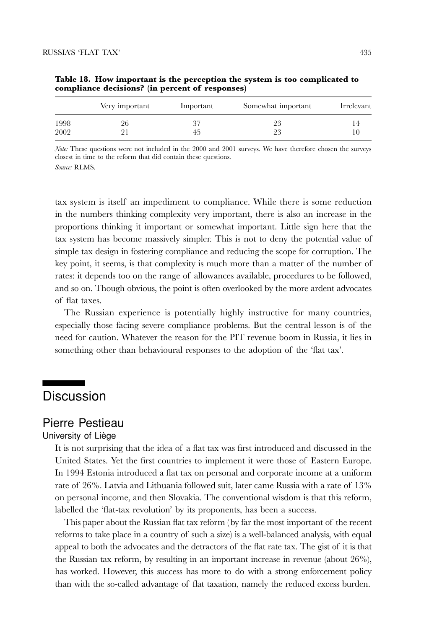|      | Very important | Important | Somewhat important | Irrelevant |
|------|----------------|-----------|--------------------|------------|
| 1998 | 26             |           |                    |            |
| 2002 |                | 45        | າາ                 |            |

**Table 18. How important is the perception the system is too complicated to compliance decisions? (in percent of responses)**

*Note:* These questions were not included in the 2000 and 2001 surveys. We have therefore chosen the surveys closest in time to the reform that did contain these questions.

*Source:* RLMS.

tax system is itself an impediment to compliance. While there is some reduction in the numbers thinking complexity very important, there is also an increase in the proportions thinking it important or somewhat important. Little sign here that the tax system has become massively simpler. This is not to deny the potential value of simple tax design in fostering compliance and reducing the scope for corruption. The key point, it seems, is that complexity is much more than a matter of the number of rates: it depends too on the range of allowances available, procedures to be followed, and so on. Though obvious, the point is often overlooked by the more ardent advocates of flat taxes.

The Russian experience is potentially highly instructive for many countries, especially those facing severe compliance problems. But the central lesson is of the need for caution. Whatever the reason for the PIT revenue boom in Russia, it lies in something other than behavioural responses to the adoption of the 'flat tax'.

# **Discussion**

# Pierre Pestieau

#### University of Liège

It is not surprising that the idea of a flat tax was first introduced and discussed in the United States. Yet the first countries to implement it were those of Eastern Europe. In 1994 Estonia introduced a flat tax on personal and corporate income at a uniform rate of 26%. Latvia and Lithuania followed suit, later came Russia with a rate of 13% on personal income, and then Slovakia. The conventional wisdom is that this reform, labelled the 'flat-tax revolution' by its proponents, has been a success.

This paper about the Russian flat tax reform (by far the most important of the recent reforms to take place in a country of such a size) is a well-balanced analysis, with equal appeal to both the advocates and the detractors of the flat rate tax. The gist of it is that the Russian tax reform, by resulting in an important increase in revenue (about 26%), has worked. However, this success has more to do with a strong enforcement policy than with the so-called advantage of flat taxation, namely the reduced excess burden.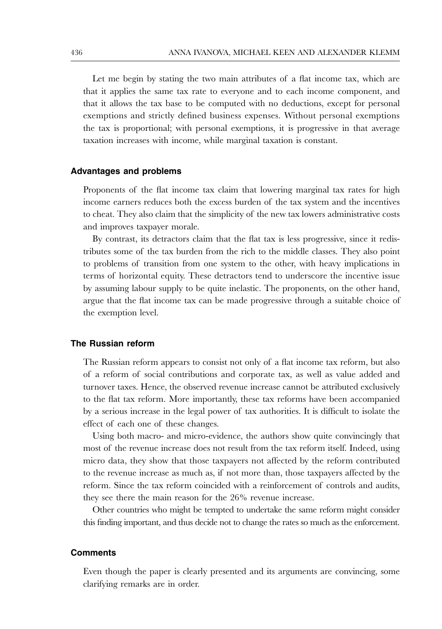Let me begin by stating the two main attributes of a flat income tax, which are that it applies the same tax rate to everyone and to each income component, and that it allows the tax base to be computed with no deductions, except for personal exemptions and strictly defined business expenses. Without personal exemptions the tax is proportional; with personal exemptions, it is progressive in that average taxation increases with income, while marginal taxation is constant.

#### **Advantages and problems**

Proponents of the flat income tax claim that lowering marginal tax rates for high income earners reduces both the excess burden of the tax system and the incentives to cheat. They also claim that the simplicity of the new tax lowers administrative costs and improves taxpayer morale.

By contrast, its detractors claim that the flat tax is less progressive, since it redistributes some of the tax burden from the rich to the middle classes. They also point to problems of transition from one system to the other, with heavy implications in terms of horizontal equity. These detractors tend to underscore the incentive issue by assuming labour supply to be quite inelastic. The proponents, on the other hand, argue that the flat income tax can be made progressive through a suitable choice of the exemption level.

### **The Russian reform**

The Russian reform appears to consist not only of a flat income tax reform, but also of a reform of social contributions and corporate tax, as well as value added and turnover taxes. Hence, the observed revenue increase cannot be attributed exclusively to the flat tax reform. More importantly, these tax reforms have been accompanied by a serious increase in the legal power of tax authorities. It is difficult to isolate the effect of each one of these changes.

Using both macro- and micro-evidence, the authors show quite convincingly that most of the revenue increase does not result from the tax reform itself. Indeed, using micro data, they show that those taxpayers not affected by the reform contributed to the revenue increase as much as, if not more than, those taxpayers affected by the reform. Since the tax reform coincided with a reinforcement of controls and audits, they see there the main reason for the 26% revenue increase.

Other countries who might be tempted to undertake the same reform might consider this finding important, and thus decide not to change the rates so much as the enforcement.

#### **Comments**

Even though the paper is clearly presented and its arguments are convincing, some clarifying remarks are in order.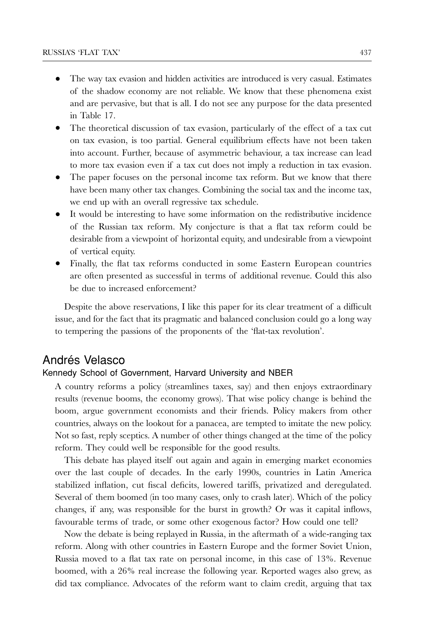- The way tax evasion and hidden activities are introduced is very casual. Estimates of the shadow economy are not reliable. We know that these phenomena exist and are pervasive, but that is all. I do not see any purpose for the data presented in Table 17.
- The theoretical discussion of tax evasion, particularly of the effect of a tax cut on tax evasion, is too partial. General equilibrium effects have not been taken into account. Further, because of asymmetric behaviour, a tax increase can lead to more tax evasion even if a tax cut does not imply a reduction in tax evasion.
- The paper focuses on the personal income tax reform. But we know that there have been many other tax changes. Combining the social tax and the income tax, we end up with an overall regressive tax schedule.
- It would be interesting to have some information on the redistributive incidence of the Russian tax reform. My conjecture is that a flat tax reform could be desirable from a viewpoint of horizontal equity, and undesirable from a viewpoint of vertical equity.
- Finally, the flat tax reforms conducted in some Eastern European countries are often presented as successful in terms of additional revenue. Could this also be due to increased enforcement?

Despite the above reservations, I like this paper for its clear treatment of a difficult issue, and for the fact that its pragmatic and balanced conclusion could go a long way to tempering the passions of the proponents of the 'flat-tax revolution'.

# Andrés Velasco

#### Kennedy School of Government, Harvard University and NBER

A country reforms a policy (streamlines taxes, say) and then enjoys extraordinary results (revenue booms, the economy grows). That wise policy change is behind the boom, argue government economists and their friends. Policy makers from other countries, always on the lookout for a panacea, are tempted to imitate the new policy. Not so fast, reply sceptics. A number of other things changed at the time of the policy reform. They could well be responsible for the good results.

This debate has played itself out again and again in emerging market economies over the last couple of decades. In the early 1990s, countries in Latin America stabilized inflation, cut fiscal deficits, lowered tariffs, privatized and deregulated. Several of them boomed (in too many cases, only to crash later). Which of the policy changes, if any, was responsible for the burst in growth? Or was it capital inflows, favourable terms of trade, or some other exogenous factor? How could one tell?

Now the debate is being replayed in Russia, in the aftermath of a wide-ranging tax reform. Along with other countries in Eastern Europe and the former Soviet Union, Russia moved to a flat tax rate on personal income, in this case of 13%. Revenue boomed, with a 26% real increase the following year. Reported wages also grew, as did tax compliance. Advocates of the reform want to claim credit, arguing that tax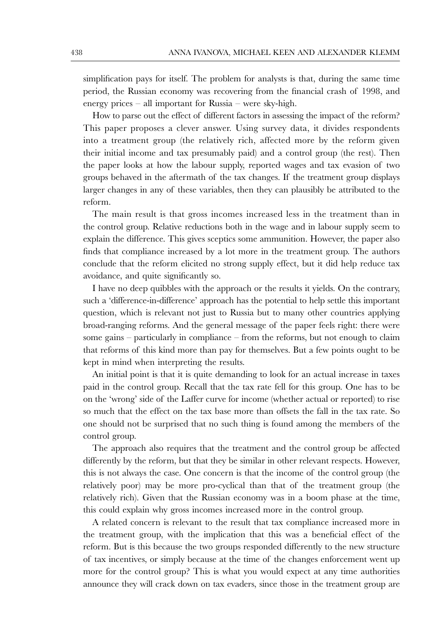simplification pays for itself. The problem for analysts is that, during the same time period, the Russian economy was recovering from the financial crash of 1998, and energy prices – all important for Russia – were sky-high.

How to parse out the effect of different factors in assessing the impact of the reform? This paper proposes a clever answer. Using survey data, it divides respondents into a treatment group (the relatively rich, affected more by the reform given their initial income and tax presumably paid) and a control group (the rest). Then the paper looks at how the labour supply, reported wages and tax evasion of two groups behaved in the aftermath of the tax changes. If the treatment group displays larger changes in any of these variables, then they can plausibly be attributed to the reform.

The main result is that gross incomes increased less in the treatment than in the control group. Relative reductions both in the wage and in labour supply seem to explain the difference. This gives sceptics some ammunition. However, the paper also finds that compliance increased by a lot more in the treatment group. The authors conclude that the reform elicited no strong supply effect, but it did help reduce tax avoidance, and quite significantly so.

I have no deep quibbles with the approach or the results it yields. On the contrary, such a 'difference-in-difference' approach has the potential to help settle this important question, which is relevant not just to Russia but to many other countries applying broad-ranging reforms. And the general message of the paper feels right: there were some gains – particularly in compliance – from the reforms, but not enough to claim that reforms of this kind more than pay for themselves. But a few points ought to be kept in mind when interpreting the results.

An initial point is that it is quite demanding to look for an actual increase in taxes paid in the control group. Recall that the tax rate fell for this group. One has to be on the 'wrong' side of the Laffer curve for income (whether actual or reported) to rise so much that the effect on the tax base more than offsets the fall in the tax rate. So one should not be surprised that no such thing is found among the members of the control group.

The approach also requires that the treatment and the control group be affected differently by the reform, but that they be similar in other relevant respects. However, this is not always the case. One concern is that the income of the control group (the relatively poor) may be more pro-cyclical than that of the treatment group (the relatively rich). Given that the Russian economy was in a boom phase at the time, this could explain why gross incomes increased more in the control group.

A related concern is relevant to the result that tax compliance increased more in the treatment group, with the implication that this was a beneficial effect of the reform. But is this because the two groups responded differently to the new structure of tax incentives, or simply because at the time of the changes enforcement went up more for the control group? This is what you would expect at any time authorities announce they will crack down on tax evaders, since those in the treatment group are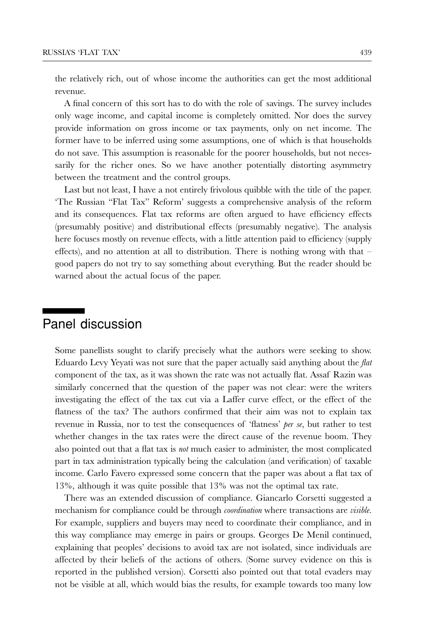the relatively rich, out of whose income the authorities can get the most additional revenue.

A final concern of this sort has to do with the role of savings. The survey includes only wage income, and capital income is completely omitted. Nor does the survey provide information on gross income or tax payments, only on net income. The former have to be inferred using some assumptions, one of which is that households do not save. This assumption is reasonable for the poorer households, but not necessarily for the richer ones. So we have another potentially distorting asymmetry between the treatment and the control groups.

Last but not least, I have a not entirely frivolous quibble with the title of the paper. 'The Russian "Flat Tax" Reform' suggests a comprehensive analysis of the reform and its consequences. Flat tax reforms are often argued to have efficiency effects (presumably positive) and distributional effects (presumably negative). The analysis here focuses mostly on revenue effects, with a little attention paid to efficiency (supply effects), and no attention at all to distribution. There is nothing wrong with that  $$ good papers do not try to say something about everything. But the reader should be warned about the actual focus of the paper.

# Panel discussion

Some panellists sought to clarify precisely what the authors were seeking to show. Eduardo Levy Yeyati was not sure that the paper actually said anything about the *flat* component of the tax, as it was shown the rate was not actually flat. Assaf Razin was similarly concerned that the question of the paper was not clear: were the writers investigating the effect of the tax cut via a Laffer curve effect, or the effect of the flatness of the tax? The authors confirmed that their aim was not to explain tax revenue in Russia, nor to test the consequences of 'flatness' *per se*, but rather to test whether changes in the tax rates were the direct cause of the revenue boom. They also pointed out that a flat tax is *not* much easier to administer, the most complicated part in tax administration typically being the calculation (and verification) of taxable income. Carlo Favero expressed some concern that the paper was about a flat tax of 13%, although it was quite possible that 13% was not the optimal tax rate.

There was an extended discussion of compliance. Giancarlo Corsetti suggested a mechanism for compliance could be through *coordination* where transactions are *visible*. For example, suppliers and buyers may need to coordinate their compliance, and in this way compliance may emerge in pairs or groups. Georges De Menil continued, explaining that peoples' decisions to avoid tax are not isolated, since individuals are affected by their beliefs of the actions of others. (Some survey evidence on this is reported in the published version). Corsetti also pointed out that total evaders may not be visible at all, which would bias the results, for example towards too many low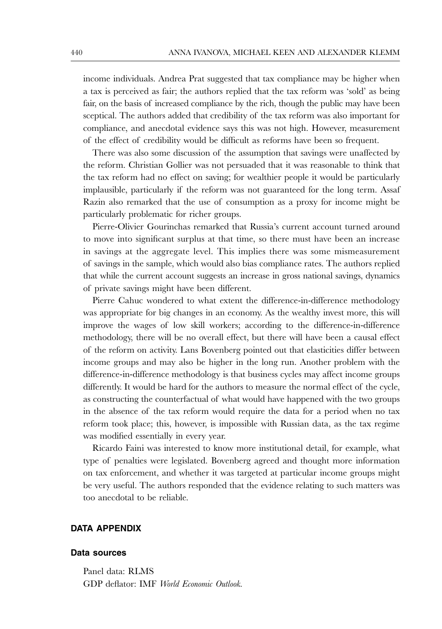income individuals. Andrea Prat suggested that tax compliance may be higher when a tax is perceived as fair; the authors replied that the tax reform was 'sold' as being fair, on the basis of increased compliance by the rich, though the public may have been sceptical. The authors added that credibility of the tax reform was also important for compliance, and anecdotal evidence says this was not high. However, measurement of the effect of credibility would be difficult as reforms have been so frequent.

There was also some discussion of the assumption that savings were unaffected by the reform. Christian Gollier was not persuaded that it was reasonable to think that the tax reform had no effect on saving; for wealthier people it would be particularly implausible, particularly if the reform was not guaranteed for the long term. Assaf Razin also remarked that the use of consumption as a proxy for income might be particularly problematic for richer groups.

Pierre-Olivier Gourinchas remarked that Russia's current account turned around to move into significant surplus at that time, so there must have been an increase in savings at the aggregate level. This implies there was some mismeasurement of savings in the sample, which would also bias compliance rates. The authors replied that while the current account suggests an increase in gross national savings, dynamics of private savings might have been different.

Pierre Cahuc wondered to what extent the difference-in-difference methodology was appropriate for big changes in an economy. As the wealthy invest more, this will improve the wages of low skill workers; according to the difference-in-difference methodology, there will be no overall effect, but there will have been a causal effect of the reform on activity. Lans Bovenberg pointed out that elasticities differ between income groups and may also be higher in the long run. Another problem with the difference-in-difference methodology is that business cycles may affect income groups differently. It would be hard for the authors to measure the normal effect of the cycle, as constructing the counterfactual of what would have happened with the two groups in the absence of the tax reform would require the data for a period when no tax reform took place; this, however, is impossible with Russian data, as the tax regime was modified essentially in every year.

Ricardo Faini was interested to know more institutional detail, for example, what type of penalties were legislated. Bovenberg agreed and thought more information on tax enforcement, and whether it was targeted at particular income groups might be very useful. The authors responded that the evidence relating to such matters was too anecdotal to be reliable.

# **DATA APPENDIX**

#### **Data sources**

Panel data: RLMS GDP deflator: IMF *World Economic Outlook.*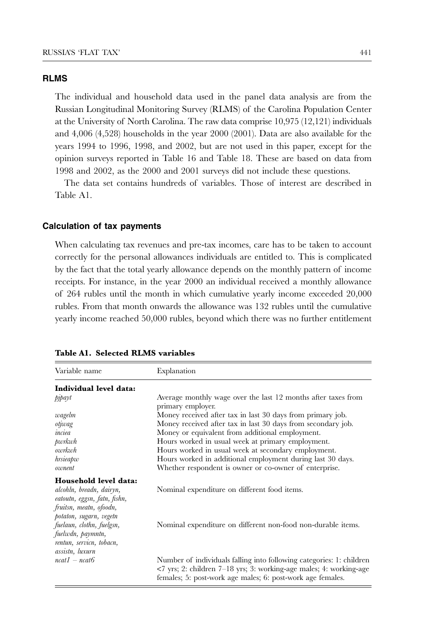#### **RLMS**

The individual and household data used in the panel data analysis are from the Russian Longitudinal Monitoring Survey (RLMS) of the Carolina Population Center at the University of North Carolina. The raw data comprise 10,975 (12,121) individuals and 4,006 (4,528) households in the year 2000 (2001). Data are also available for the years 1994 to 1996, 1998, and 2002, but are not used in this paper, except for the opinion surveys reported in Table 16 and Table 18. These are based on data from 1998 and 2002, as the 2000 and 2001 surveys did not include these questions.

The data set contains hundreds of variables. Those of interest are described in Table A1.

#### **Calculation of tax payments**

When calculating tax revenues and pre-tax incomes, care has to be taken to account correctly for the personal allowances individuals are entitled to. This is complicated by the fact that the total yearly allowance depends on the monthly pattern of income receipts. For instance, in the year 2000 an individual received a monthly allowance of 264 rubles until the month in which cumulative yearly income exceeded 20,000 rubles. From that month onwards the allowance was 132 rubles until the cumulative yearly income reached 50,000 rubles, beyond which there was no further entitlement

| Variable name                                                                                         | Explanation                                                                                                                                                                                                               |
|-------------------------------------------------------------------------------------------------------|---------------------------------------------------------------------------------------------------------------------------------------------------------------------------------------------------------------------------|
| Individual level data:                                                                                |                                                                                                                                                                                                                           |
| pjpayt                                                                                                | Average monthly wage over the last 12 months after taxes from<br>primary employer.                                                                                                                                        |
| wagelm                                                                                                | Money received after tax in last 30 days from primary job.                                                                                                                                                                |
| otjwag                                                                                                | Money received after tax in last 30 days from secondary job.                                                                                                                                                              |
| inciea                                                                                                | Money or equivalent from additional employment.                                                                                                                                                                           |
| pwrkwh                                                                                                | Hours worked in usual week at primary employment.                                                                                                                                                                         |
| owrkwh                                                                                                | Hours worked in usual week at secondary employment.                                                                                                                                                                       |
| hrsieapw                                                                                              | Hours worked in additional employment during last 30 days.                                                                                                                                                                |
| ownent                                                                                                | Whether respondent is owner or co-owner of enterprise.                                                                                                                                                                    |
| Household level data:                                                                                 |                                                                                                                                                                                                                           |
| alcohln, breadn, dairyn,<br>eatoutn, eggsn, fatn, fishn,<br>fruitsn, meatn, ofoodn,                   | Nominal expenditure on different food items.                                                                                                                                                                              |
| potaton, sugarn, vegetn<br>fuelaun, clothn, fuelgsn,<br>fuelwdn, paymntn,<br>rentun, servicn, tobacn, | Nominal expenditure on different non-food non-durable items.                                                                                                                                                              |
| assistn, luxurn<br>$ncat1 - ncat6$                                                                    | Number of individuals falling into following categories: 1: children<br>$\langle 7 \rangle$ yrs; 2: children 7–18 yrs; 3: working-age males; 4: working-age<br>females; 5: post-work age males; 6: post-work age females. |

| Table A1. Selected RLMS variables |  |  |
|-----------------------------------|--|--|
|                                   |  |  |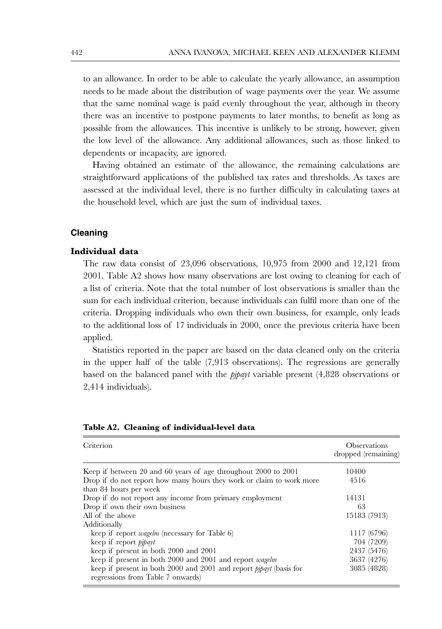to an allowance. In order to be able to calculate the yearly allowance, an assumption needs to be made about the distribution of wage payments over the year. We assume that the same nominal wage is paid evenly throughout the year, although in theory there was an incentive to postpone payments to later months, to benefit as long as possible from the allowances. This incentive is unlikely to be strong, however, given the low level of the allowance. Any additional allowances, such as those linked to dependents or incapacity, are ignored.

Having obtained an estimate of the allowance, the remaining calculations are straightforward applications of the published tax rates and thresholds. As taxes are assessed at the individual level, there is no further difficulty in calculating taxes at the household level, which are just the sum of individual taxes.

#### **Cleaning**

# **Individual data**

The raw data consist of 23,096 observations, 10,975 from 2000 and 12,121 from 2001. Table A2 shows how many observations are lost owing to cleaning for each of a list of criteria. Note that the total number of lost observations is smaller than the sum for each individual criterion, because individuals can fulfil more than one of the criteria. Dropping individuals who own their own business, for example, only leads to the additional loss of 17 individuals in 2000, once the previous criteria have been applied.

Statistics reported in the paper are based on the data cleaned only on the criteria in the upper half of the table (7,913 observations). The regressions are generally based on the balanced panel with the *pjpayt* variable present (4,828 observations or 2,414 individuals).

| Criterion                                                                                                     | <b>O</b> bservations<br>dropped (remaining) |
|---------------------------------------------------------------------------------------------------------------|---------------------------------------------|
| Keep if between 20 and 60 years of age throughout 2000 to 2001                                                | 10400                                       |
| Drop if do not report how many hours they work or claim to work more                                          | 4516                                        |
| than 84 hours per week                                                                                        |                                             |
| Drop if do not report any income from primary employment                                                      | 14131                                       |
| Drop if own their own business                                                                                | 63                                          |
| All of the above                                                                                              | 15183 (7913)                                |
| Additionally                                                                                                  |                                             |
| keep if report <i>wagelm</i> (necessary for Table 6)                                                          | 1117 (6796)                                 |
| keep if report <i>pipayt</i>                                                                                  | 704 (7209)                                  |
| keep if present in both 2000 and 2001                                                                         | 2437 (5476)                                 |
| keep if present in both 2000 and 2001 and report wagelm                                                       | 3637 (4276)                                 |
| keep if present in both 2000 and 2001 and report <i>ppayt</i> (basis for<br>regressions from Table 7 onwards) | 3085 (4828)                                 |

#### **Table A2. Cleaning of individual-level data**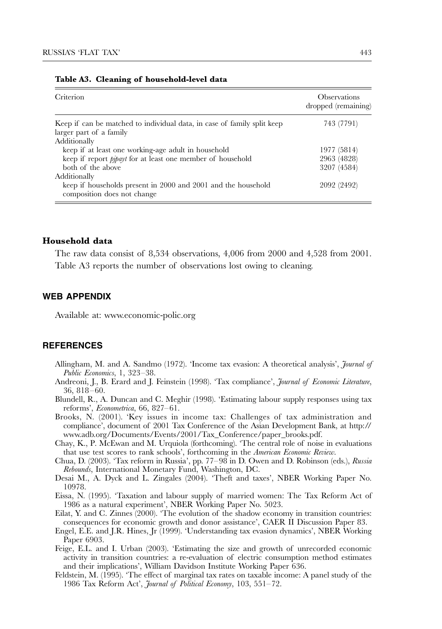| Criterion                                                                                    | <b>O</b> bservations<br>dropped (remaining) |
|----------------------------------------------------------------------------------------------|---------------------------------------------|
| Keep if can be matched to individual data, in case of family split keep                      | 743 (7791)                                  |
| larger part of a family                                                                      |                                             |
| Additionally                                                                                 |                                             |
| keep if at least one working-age adult in household                                          | 1977 (5814)                                 |
| keep if report <i>ppayt</i> for at least one member of household                             | 2963 (4828)                                 |
| both of the above                                                                            | 3207 (4584)                                 |
| Additionally                                                                                 |                                             |
| keep if households present in 2000 and 2001 and the household<br>composition does not change | 2092 (2492)                                 |

|  |  |  | Table A3. Cleaning of household-level data |  |
|--|--|--|--------------------------------------------|--|
|--|--|--|--------------------------------------------|--|

#### **Household data**

The raw data consist of 8,534 observations, 4,006 from 2000 and 4,528 from 2001. Table A3 reports the number of observations lost owing to cleaning.

#### **WEB APPENDIX**

Available at: www.economic-polic.org

#### **REFERENCES**

- Allingham, M. and A. Sandmo (1972). 'Income tax evasion: A theoretical analysis', *Journal of Public Economics*, 1, 323–38.
- Andreoni, J., B. Erard and J. Feinstein (1998). 'Tax compliance', *Journal of Economic Literature*, 36, 818–60.
- Blundell, R., A. Duncan and C. Meghir (1998). 'Estimating labour supply responses using tax reforms', *Econometrica*, 66, 827–61.
- Brooks, N. (2001). 'Key issues in income tax: Challenges of tax administration and compliance', document of 2001 Tax Conference of the Asian Development Bank, at <http://> www.adb.org/Documents/Events/2001/Tax\_Conference/paper\_brooks.pdf.
- Chay, K., P. McEwan and M. Urquiola (forthcoming). 'The central role of noise in evaluations that use test scores to rank schools', forthcoming in the *American Economic Review*.
- Chua, D. (2003). 'Tax reform in Russia', pp. 77–98 in D. Owen and D. Robinson (eds.), *Russia Rebounds*, International Monetary Fund, Washington, DC.
- Desai M., A. Dyck and L. Zingales (2004). 'Theft and taxes', NBER Working Paper No. 10978.
- Eissa, N. (1995). 'Taxation and labour supply of married women: The Tax Reform Act of 1986 as a natural experiment', NBER Working Paper No. 5023.
- Eilat, Y. and C. Zinnes (2000). 'The evolution of the shadow economy in transition countries: consequences for economic growth and donor assistance', CAER II Discussion Paper 83.
- Engel, E.E. and J.R. Hines, Jr (1999). 'Understanding tax evasion dynamics', NBER Working Paper 6903.
- Feige, E.L. and I. Urban (2003). 'Estimating the size and growth of unrecorded economic activity in transition countries: a re-evaluation of electric consumption method estimates and their implications', William Davidson Institute Working Paper 636.
- Feldstein, M. (1995). 'The effect of marginal tax rates on taxable income: A panel study of the 1986 Tax Reform Act', *Journal of Political Economy*, 103, 551–72.